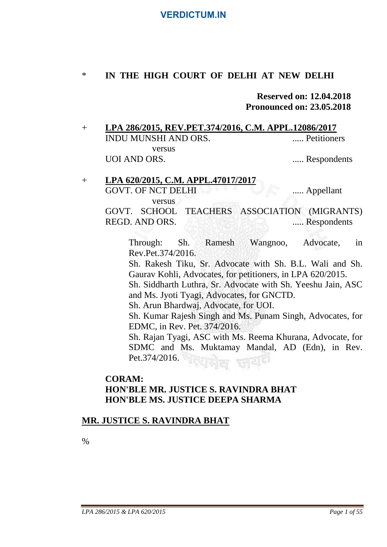### \* **IN THE HIGH COURT OF DELHI AT NEW DELHI**

### **Reserved on: 12.04.2018 Pronounced on: 23.05.2018**

- + **LPA 286/2015, REV.PET.374/2016, C.M. APPL.12086/2017** INDU MUNSHI AND ORS. ..... Petitioners versus UOI AND ORS. ...... Respondents
- + **LPA 620/2015, C.M. APPL.47017/2017** GOVT. OF NCT DELHI ..... Appellant versus GOVT. SCHOOL TEACHERS ASSOCIATION (MIGRANTS) REGD. AND ORS. ...... Respondents

Through: Sh. Ramesh Wangnoo, Advocate, in Rev.Pet.374/2016.

Sh. Rakesh Tiku, Sr. Advocate with Sh. B.L. Wali and Sh. Gaurav Kohli, Advocates, for petitioners, in LPA 620/2015.

Sh. Siddharth Luthra, Sr. Advocate with Sh. Yeeshu Jain, ASC and Ms. Jyoti Tyagi, Advocates, for GNCTD.

Sh. Arun Bhardwaj, Advocate, for UOI.

Sh. Kumar Rajesh Singh and Ms. Punam Singh, Advocates, for EDMC, in Rev. Pet. 374/2016.

Sh. Rajan Tyagi, ASC with Ms. Reema Khurana, Advocate, for SDMC and Ms. Muktamay Mandal, AD (Edn), in Rev. Pet.374/2016.

### **CORAM: HON'BLE MR. JUSTICE S. RAVINDRA BHAT HON'BLE MS. JUSTICE DEEPA SHARMA**

### **MR. JUSTICE S. RAVINDRA BHAT**

%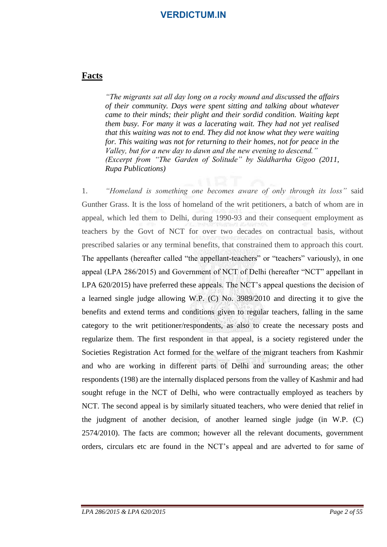#### **Facts**

*"The migrants sat all day long on a rocky mound and discussed the affairs of their community. Days were spent sitting and talking about whatever came to their minds; their plight and their sordid condition. Waiting kept them busy. For many it was a lacerating wait. They had not yet realised that this waiting was not to end. They did not know what they were waiting for. This waiting was not for returning to their homes, not for peace in the Valley, but for a new day to dawn and the new evening to descend." (Excerpt from "The Garden of Solitude" by Siddhartha Gigoo (2011, Rupa Publications)* 

1. *"Homeland is something one becomes aware of only through its loss"* said Gunther Grass. It is the loss of homeland of the writ petitioners, a batch of whom are in appeal, which led them to Delhi, during 1990-93 and their consequent employment as teachers by the Govt of NCT for over two decades on contractual basis, without prescribed salaries or any terminal benefits, that constrained them to approach this court. The appellants (hereafter called "the appellant-teachers" or "teachers" variously), in one appeal (LPA 286/2015) and Government of NCT of Delhi (hereafter "NCT" appellant in LPA 620/2015) have preferred these appeals. The NCT's appeal questions the decision of a learned single judge allowing W.P. (C) No. 3989/2010 and directing it to give the benefits and extend terms and conditions given to regular teachers, falling in the same category to the writ petitioner/respondents, as also to create the necessary posts and regularize them. The first respondent in that appeal, is a society registered under the Societies Registration Act formed for the welfare of the migrant teachers from Kashmir and who are working in different parts of Delhi and surrounding areas; the other respondents (198) are the internally displaced persons from the valley of Kashmir and had sought refuge in the NCT of Delhi, who were contractually employed as teachers by NCT. The second appeal is by similarly situated teachers, who were denied that relief in the judgment of another decision, of another learned single judge (in W.P. (C) 2574/2010). The facts are common; however all the relevant documents, government orders, circulars etc are found in the NCT's appeal and are adverted to for same of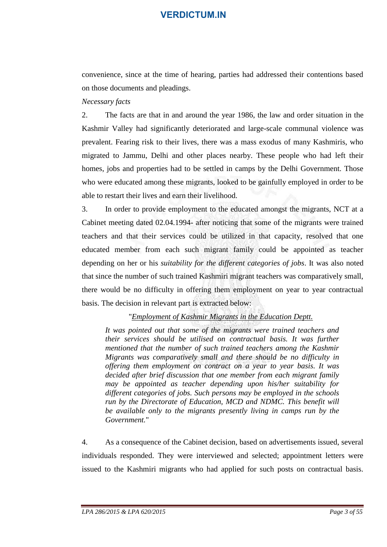convenience, since at the time of hearing, parties had addressed their contentions based on those documents and pleadings.

#### *Necessary facts*

2. The facts are that in and around the year 1986, the law and order situation in the Kashmir Valley had significantly deteriorated and large-scale communal violence was prevalent. Fearing risk to their lives, there was a mass exodus of many Kashmiris, who migrated to Jammu, Delhi and other places nearby. These people who had left their homes, jobs and properties had to be settled in camps by the Delhi Government. Those who were educated among these migrants, looked to be gainfully employed in order to be able to restart their lives and earn their livelihood.

3. In order to provide employment to the educated amongst the migrants, NCT at a Cabinet meeting dated 02.04.1994- after noticing that some of the migrants were trained teachers and that their services could be utilized in that capacity, resolved that one educated member from each such migrant family could be appointed as teacher depending on her or his *suitability for the different categories of jobs*. It was also noted that since the number of such trained Kashmiri migrant teachers was comparatively small, there would be no difficulty in offering them employment on year to year contractual basis. The decision in relevant part is extracted below:

#### "*Employment of Kashmir Migrants in the Education Deptt.*

*It was pointed out that some of the migrants were trained teachers and their services should be utilised on contractual basis. It was further mentioned that the number of such trained teachers among the Kashmir Migrants was comparatively small and there should be no difficulty in offering them employment on contract on a year to year basis. It was decided after brief discussion that one member from each migrant family may be appointed as teacher depending upon his/her suitability for different categories of jobs. Such persons may be employed in the schools run by the Directorate of Education, MCD and NDMC. This benefit will be available only to the migrants presently living in camps run by the Government.*"

4. As a consequence of the Cabinet decision, based on advertisements issued, several individuals responded. They were interviewed and selected; appointment letters were issued to the Kashmiri migrants who had applied for such posts on contractual basis.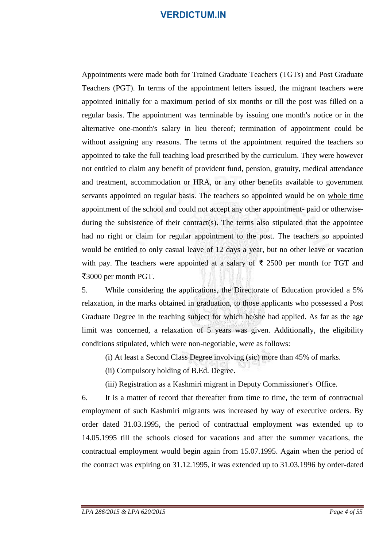Appointments were made both for Trained Graduate Teachers (TGTs) and Post Graduate Teachers (PGT). In terms of the appointment letters issued, the migrant teachers were appointed initially for a maximum period of six months or till the post was filled on a regular basis. The appointment was terminable by issuing one month's notice or in the alternative one-month's salary in lieu thereof; termination of appointment could be without assigning any reasons. The terms of the appointment required the teachers so appointed to take the full teaching load prescribed by the curriculum. They were however not entitled to claim any benefit of provident fund, pension, gratuity, medical attendance and treatment, accommodation or HRA, or any other benefits available to government servants appointed on regular basis. The teachers so appointed would be on whole time appointment of the school and could not accept any other appointment- paid or otherwiseduring the subsistence of their contract(s). The terms also stipulated that the appointee had no right or claim for regular appointment to the post. The teachers so appointed would be entitled to only casual leave of 12 days a year, but no other leave or vacation with pay. The teachers were appointed at a salary of  $\bar{\tau}$  2500 per month for TGT and ₹3000 per month PGT.

5. While considering the applications, the Directorate of Education provided a 5% relaxation, in the marks obtained in graduation, to those applicants who possessed a Post Graduate Degree in the teaching subject for which he/she had applied. As far as the age limit was concerned, a relaxation of 5 years was given. Additionally, the eligibility conditions stipulated, which were non-negotiable, were as follows:

- (i) At least a Second Class Degree involving (sic) more than 45% of marks.
- (ii) Compulsory holding of B.Ed. Degree.
- (iii) Registration as a Kashmiri migrant in Deputy Commissioner's Office.

6. It is a matter of record that thereafter from time to time, the term of contractual employment of such Kashmiri migrants was increased by way of executive orders. By order dated 31.03.1995, the period of contractual employment was extended up to 14.05.1995 till the schools closed for vacations and after the summer vacations, the contractual employment would begin again from 15.07.1995. Again when the period of the contract was expiring on 31.12.1995, it was extended up to 31.03.1996 by order-dated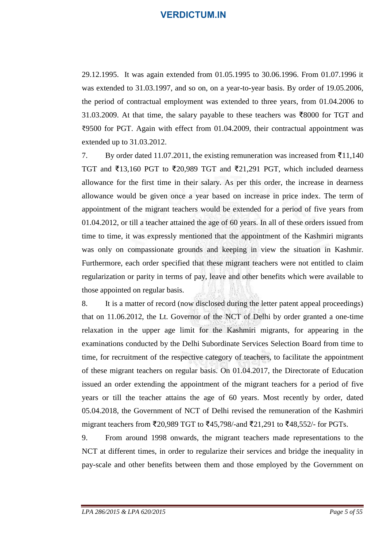29.12.1995. It was again extended from 01.05.1995 to 30.06.1996. From 01.07.1996 it was extended to 31.03.1997, and so on, on a year-to-year basis. By order of 19.05.2006, the period of contractual employment was extended to three years, from 01.04.2006 to 31.03.2009. At that time, the salary payable to these teachers was ₹8000 for TGT and ₹9500 for PGT. Again with effect from 01.04.2009, their contractual appointment was extended up to 31.03.2012.

7. By order dated 11.07.2011, the existing remuneration was increased from ₹11,140 TGT and ₹13,160 PGT to ₹20,989 TGT and ₹21,291 PGT, which included dearness allowance for the first time in their salary. As per this order, the increase in dearness allowance would be given once a year based on increase in price index. The term of appointment of the migrant teachers would be extended for a period of five years from 01.04.2012, or till a teacher attained the age of 60 years. In all of these orders issued from time to time, it was expressly mentioned that the appointment of the Kashmiri migrants was only on compassionate grounds and keeping in view the situation in Kashmir. Furthermore, each order specified that these migrant teachers were not entitled to claim regularization or parity in terms of pay, leave and other benefits which were available to those appointed on regular basis.

8. It is a matter of record (now disclosed during the letter patent appeal proceedings) that on 11.06.2012, the Lt. Governor of the NCT of Delhi by order granted a one-time relaxation in the upper age limit for the Kashmiri migrants, for appearing in the examinations conducted by the Delhi Subordinate Services Selection Board from time to time, for recruitment of the respective category of teachers, to facilitate the appointment of these migrant teachers on regular basis. On 01.04.2017, the Directorate of Education issued an order extending the appointment of the migrant teachers for a period of five years or till the teacher attains the age of 60 years. Most recently by order, dated 05.04.2018, the Government of NCT of Delhi revised the remuneration of the Kashmiri migrant teachers from ₹20,989 TGT to ₹45,798/-and ₹21,291 to ₹48,552/- for PGTs.

9. From around 1998 onwards, the migrant teachers made representations to the NCT at different times, in order to regularize their services and bridge the inequality in pay-scale and other benefits between them and those employed by the Government on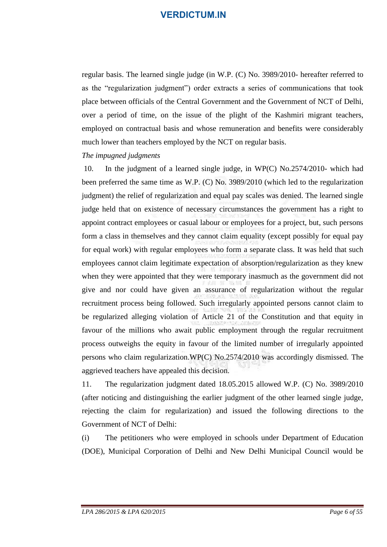regular basis. The learned single judge (in W.P. (C) No. 3989/2010- hereafter referred to as the "regularization judgment") order extracts a series of communications that took place between officials of the Central Government and the Government of NCT of Delhi, over a period of time, on the issue of the plight of the Kashmiri migrant teachers, employed on contractual basis and whose remuneration and benefits were considerably much lower than teachers employed by the NCT on regular basis.

#### *The impugned judgments*

10. In the judgment of a learned single judge, in WP(C) No.2574/2010- which had been preferred the same time as W.P. (C) No. 3989/2010 (which led to the regularization judgment) the relief of regularization and equal pay scales was denied. The learned single judge held that on existence of necessary circumstances the government has a right to appoint contract employees or casual labour or employees for a project, but, such persons form a class in themselves and they cannot claim equality (except possibly for equal pay for equal work) with regular employees who form a separate class. It was held that such employees cannot claim legitimate expectation of absorption/regularization as they knew when they were appointed that they were temporary inasmuch as the government did not give and nor could have given an assurance of regularization without the regular recruitment process being followed. Such irregularly appointed persons cannot claim to be regularized alleging violation of Article 21 of the Constitution and that equity in favour of the millions who await public employment through the regular recruitment process outweighs the equity in favour of the limited number of irregularly appointed persons who claim regularization.WP(C) No.2574/2010 was accordingly dismissed. The aggrieved teachers have appealed this decision.

11. The regularization judgment dated 18.05.2015 allowed W.P. (C) No. 3989/2010 (after noticing and distinguishing the earlier judgment of the other learned single judge, rejecting the claim for regularization) and issued the following directions to the Government of NCT of Delhi:

(i) The petitioners who were employed in schools under Department of Education (DOE), Municipal Corporation of Delhi and New Delhi Municipal Council would be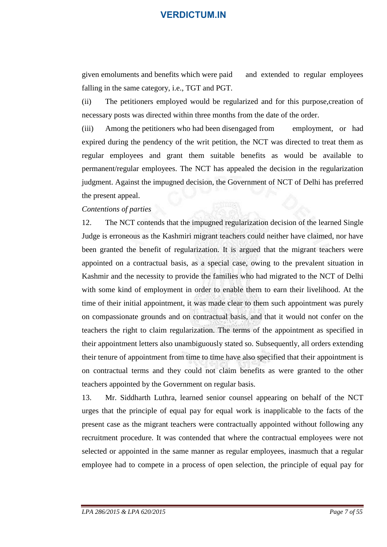given emoluments and benefits which were paid and extended to regular employees falling in the same category, i.e., TGT and PGT.

(ii) The petitioners employed would be regularized and for this purpose,creation of necessary posts was directed within three months from the date of the order.

(iii) Among the petitioners who had been disengaged from employment, or had expired during the pendency of the writ petition, the NCT was directed to treat them as regular employees and grant them suitable benefits as would be available to permanent/regular employees. The NCT has appealed the decision in the regularization judgment. Against the impugned decision, the Government of NCT of Delhi has preferred the present appeal.

#### *Contentions of parties*

12. The NCT contends that the impugned regularization decision of the learned Single Judge is erroneous as the Kashmiri migrant teachers could neither have claimed, nor have been granted the benefit of regularization. It is argued that the migrant teachers were appointed on a contractual basis, as a special case, owing to the prevalent situation in Kashmir and the necessity to provide the families who had migrated to the NCT of Delhi with some kind of employment in order to enable them to earn their livelihood. At the time of their initial appointment, it was made clear to them such appointment was purely on compassionate grounds and on contractual basis, and that it would not confer on the teachers the right to claim regularization. The terms of the appointment as specified in their appointment letters also unambiguously stated so. Subsequently, all orders extending their tenure of appointment from time to time have also specified that their appointment is on contractual terms and they could not claim benefits as were granted to the other teachers appointed by the Government on regular basis.

13. Mr. Siddharth Luthra, learned senior counsel appearing on behalf of the NCT urges that the principle of equal pay for equal work is inapplicable to the facts of the present case as the migrant teachers were contractually appointed without following any recruitment procedure. It was contended that where the contractual employees were not selected or appointed in the same manner as regular employees, inasmuch that a regular employee had to compete in a process of open selection, the principle of equal pay for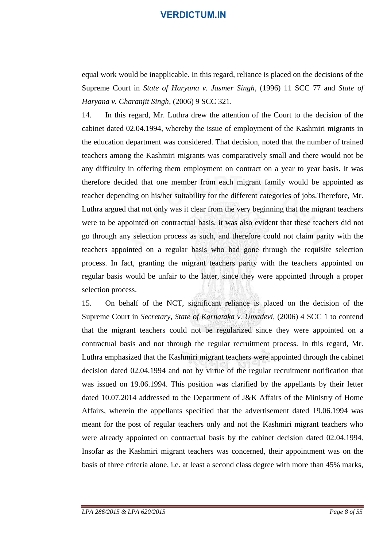equal work would be inapplicable. In this regard, reliance is placed on the decisions of the Supreme Court in *State of Haryana v. Jasmer Singh*, (1996) 11 SCC 77 and *State of Haryana v. Charanjit Singh*, (2006) 9 SCC 321.

14. In this regard, Mr. Luthra drew the attention of the Court to the decision of the cabinet dated 02.04.1994, whereby the issue of employment of the Kashmiri migrants in the education department was considered. That decision, noted that the number of trained teachers among the Kashmiri migrants was comparatively small and there would not be any difficulty in offering them employment on contract on a year to year basis. It was therefore decided that one member from each migrant family would be appointed as teacher depending on his/her suitability for the different categories of jobs.Therefore, Mr. Luthra argued that not only was it clear from the very beginning that the migrant teachers were to be appointed on contractual basis, it was also evident that these teachers did not go through any selection process as such, and therefore could not claim parity with the teachers appointed on a regular basis who had gone through the requisite selection process. In fact, granting the migrant teachers parity with the teachers appointed on regular basis would be unfair to the latter, since they were appointed through a proper selection process.

15. On behalf of the NCT, significant reliance is placed on the decision of the Supreme Court in *Secretary, State of Karnataka v. Umadevi*, (2006) 4 SCC 1 to contend that the migrant teachers could not be regularized since they were appointed on a contractual basis and not through the regular recruitment process. In this regard, Mr. Luthra emphasized that the Kashmiri migrant teachers were appointed through the cabinet decision dated 02.04.1994 and not by virtue of the regular recruitment notification that was issued on 19.06.1994. This position was clarified by the appellants by their letter dated 10.07.2014 addressed to the Department of J&K Affairs of the Ministry of Home Affairs, wherein the appellants specified that the advertisement dated 19.06.1994 was meant for the post of regular teachers only and not the Kashmiri migrant teachers who were already appointed on contractual basis by the cabinet decision dated 02.04.1994. Insofar as the Kashmiri migrant teachers was concerned, their appointment was on the basis of three criteria alone, i.e. at least a second class degree with more than 45% marks,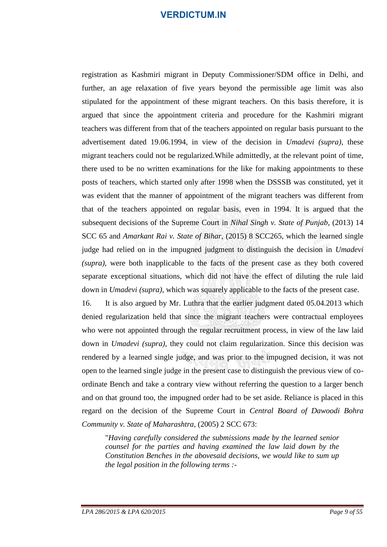registration as Kashmiri migrant in Deputy Commissioner/SDM office in Delhi, and further, an age relaxation of five years beyond the permissible age limit was also stipulated for the appointment of these migrant teachers. On this basis therefore, it is argued that since the appointment criteria and procedure for the Kashmiri migrant teachers was different from that of the teachers appointed on regular basis pursuant to the advertisement dated 19.06.1994, in view of the decision in *Umadevi (supra)*, these migrant teachers could not be regularized.While admittedly, at the relevant point of time, there used to be no written examinations for the like for making appointments to these posts of teachers, which started only after 1998 when the DSSSB was constituted, yet it was evident that the manner of appointment of the migrant teachers was different from that of the teachers appointed on regular basis, even in 1994. It is argued that the subsequent decisions of the Supreme Court in *Nihal Singh v. State of Punjab*, (2013) 14 SCC 65 and *Amarkant Rai v. State of Bihar*, (2015) 8 SCC265, which the learned single judge had relied on in the impugned judgment to distinguish the decision in *Umadevi (supra)*, were both inapplicable to the facts of the present case as they both covered separate exceptional situations, which did not have the effect of diluting the rule laid down in *Umadevi (supra)*, which was squarely applicable to the facts of the present case.

16. It is also argued by Mr. Luthra that the earlier judgment dated 05.04.2013 which denied regularization held that since the migrant teachers were contractual employees who were not appointed through the regular recruitment process, in view of the law laid down in *Umadevi (supra)*, they could not claim regularization. Since this decision was rendered by a learned single judge, and was prior to the impugned decision, it was not open to the learned single judge in the present case to distinguish the previous view of coordinate Bench and take a contrary view without referring the question to a larger bench and on that ground too, the impugned order had to be set aside. Reliance is placed in this regard on the decision of the Supreme Court in *Central Board of Dawoodi Bohra Community v. State of Maharashtra,* (2005) 2 SCC 673:

"*Having carefully considered the submissions made by the learned senior counsel for the parties and having examined the law laid down by the Constitution Benches in the abovesaid decisions, we would like to sum up the legal position in the following terms :-*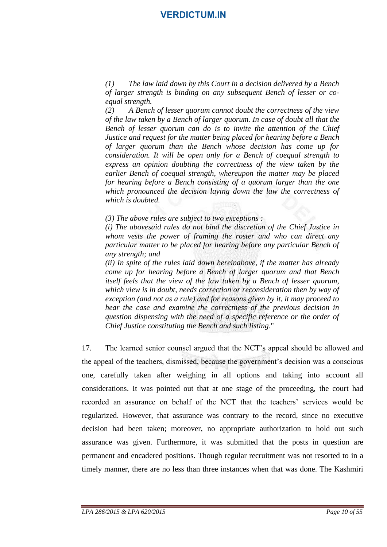*(1) The law laid down by this Court in a decision delivered by a Bench of larger strength is binding on any subsequent Bench of lesser or coequal strength.*

*(2) A Bench of lesser quorum cannot doubt the correctness of the view of the law taken by a Bench of larger quorum. In case of doubt all that the Bench of lesser quorum can do is to invite the attention of the Chief Justice and request for the matter being placed for hearing before a Bench of larger quorum than the Bench whose decision has come up for consideration. It will be open only for a Bench of coequal strength to express an opinion doubting the correctness of the view taken by the earlier Bench of coequal strength, whereupon the matter may be placed for hearing before a Bench consisting of a quorum larger than the one which pronounced the decision laying down the law the correctness of which is doubted.*

*(3) The above rules are subject to two exceptions :*

*(i) The abovesaid rules do not bind the discretion of the Chief Justice in whom vests the power of framing the roster and who can direct any particular matter to be placed for hearing before any particular Bench of any strength; and*

*(ii) In spite of the rules laid down hereinabove, if the matter has already come up for hearing before a Bench of larger quorum and that Bench itself feels that the view of the law taken by a Bench of lesser quorum, which view is in doubt, needs correction or reconsideration then by way of exception (and not as a rule) and for reasons given by it, it may proceed to hear the case and examine the correctness of the previous decision in question dispensing with the need of a specific reference or the order of Chief Justice constituting the Bench and such listing*."

17. The learned senior counsel argued that the NCT's appeal should be allowed and the appeal of the teachers, dismissed, because the government's decision was a conscious one, carefully taken after weighing in all options and taking into account all considerations. It was pointed out that at one stage of the proceeding, the court had recorded an assurance on behalf of the NCT that the teachers' services would be regularized. However, that assurance was contrary to the record, since no executive decision had been taken; moreover, no appropriate authorization to hold out such assurance was given. Furthermore, it was submitted that the posts in question are permanent and encadered positions. Though regular recruitment was not resorted to in a timely manner, there are no less than three instances when that was done. The Kashmiri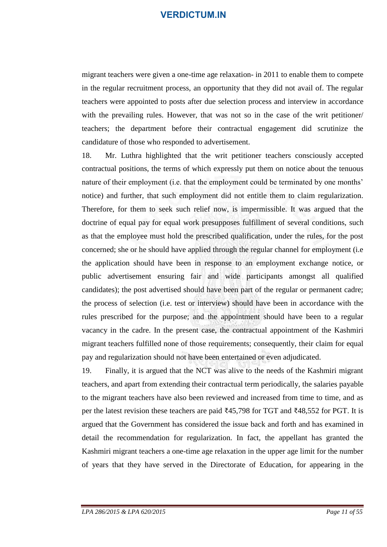migrant teachers were given a one-time age relaxation- in 2011 to enable them to compete in the regular recruitment process, an opportunity that they did not avail of. The regular teachers were appointed to posts after due selection process and interview in accordance with the prevailing rules. However, that was not so in the case of the writ petitioner/ teachers; the department before their contractual engagement did scrutinize the candidature of those who responded to advertisement.

18. Mr. Luthra highlighted that the writ petitioner teachers consciously accepted contractual positions, the terms of which expressly put them on notice about the tenuous nature of their employment (i.e. that the employment could be terminated by one months' notice) and further, that such employment did not entitle them to claim regularization. Therefore, for them to seek such relief now, is impermissible. It was argued that the doctrine of equal pay for equal work presupposes fulfillment of several conditions, such as that the employee must hold the prescribed qualification, under the rules, for the post concerned; she or he should have applied through the regular channel for employment (i.e the application should have been in response to an employment exchange notice, or public advertisement ensuring fair and wide participants amongst all qualified candidates); the post advertised should have been part of the regular or permanent cadre; the process of selection (i.e. test or interview) should have been in accordance with the rules prescribed for the purpose; and the appointment should have been to a regular vacancy in the cadre. In the present case, the contractual appointment of the Kashmiri migrant teachers fulfilled none of those requirements; consequently, their claim for equal pay and regularization should not have been entertained or even adjudicated.

19. Finally, it is argued that the NCT was alive to the needs of the Kashmiri migrant teachers, and apart from extending their contractual term periodically, the salaries payable to the migrant teachers have also been reviewed and increased from time to time, and as per the latest revision these teachers are paid ₹45,798 for TGT and ₹48,552 for PGT. It is argued that the Government has considered the issue back and forth and has examined in detail the recommendation for regularization. In fact, the appellant has granted the Kashmiri migrant teachers a one-time age relaxation in the upper age limit for the number of years that they have served in the Directorate of Education, for appearing in the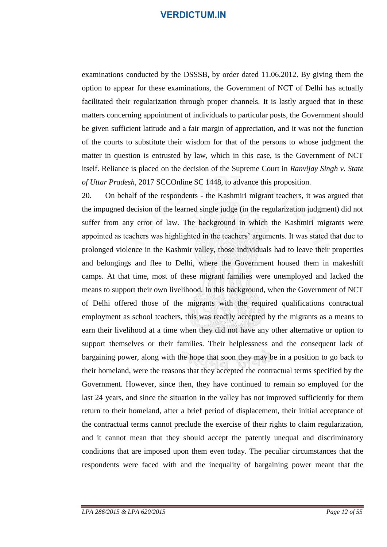examinations conducted by the DSSSB, by order dated 11.06.2012. By giving them the option to appear for these examinations, the Government of NCT of Delhi has actually facilitated their regularization through proper channels. It is lastly argued that in these matters concerning appointment of individuals to particular posts, the Government should be given sufficient latitude and a fair margin of appreciation, and it was not the function of the courts to substitute their wisdom for that of the persons to whose judgment the matter in question is entrusted by law, which in this case, is the Government of NCT itself. Reliance is placed on the decision of the Supreme Court in *Ranvijay Singh v. State of Uttar Pradesh*, 2017 SCCOnline SC 1448, to advance this proposition.

20. On behalf of the respondents - the Kashmiri migrant teachers, it was argued that the impugned decision of the learned single judge (in the regularization judgment) did not suffer from any error of law. The background in which the Kashmiri migrants were appointed as teachers was highlighted in the teachers' arguments. It was stated that due to prolonged violence in the Kashmir valley, those individuals had to leave their properties and belongings and flee to Delhi, where the Government housed them in makeshift camps. At that time, most of these migrant families were unemployed and lacked the means to support their own livelihood. In this background, when the Government of NCT of Delhi offered those of the migrants with the required qualifications contractual employment as school teachers, this was readily accepted by the migrants as a means to earn their livelihood at a time when they did not have any other alternative or option to support themselves or their families. Their helplessness and the consequent lack of bargaining power, along with the hope that soon they may be in a position to go back to their homeland, were the reasons that they accepted the contractual terms specified by the Government. However, since then, they have continued to remain so employed for the last 24 years, and since the situation in the valley has not improved sufficiently for them return to their homeland, after a brief period of displacement, their initial acceptance of the contractual terms cannot preclude the exercise of their rights to claim regularization, and it cannot mean that they should accept the patently unequal and discriminatory conditions that are imposed upon them even today. The peculiar circumstances that the respondents were faced with and the inequality of bargaining power meant that the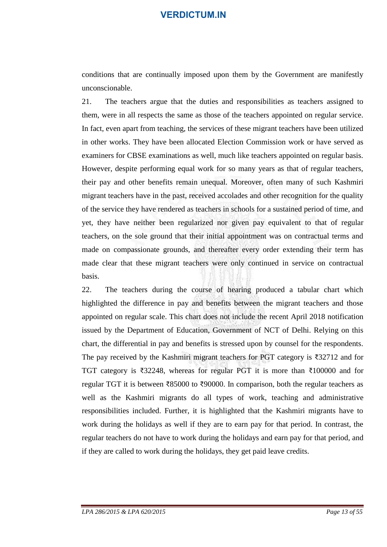conditions that are continually imposed upon them by the Government are manifestly unconscionable.

21. The teachers argue that the duties and responsibilities as teachers assigned to them, were in all respects the same as those of the teachers appointed on regular service. In fact, even apart from teaching, the services of these migrant teachers have been utilized in other works. They have been allocated Election Commission work or have served as examiners for CBSE examinations as well, much like teachers appointed on regular basis. However, despite performing equal work for so many years as that of regular teachers, their pay and other benefits remain unequal. Moreover, often many of such Kashmiri migrant teachers have in the past, received accolades and other recognition for the quality of the service they have rendered as teachers in schools for a sustained period of time, and yet, they have neither been regularized nor given pay equivalent to that of regular teachers, on the sole ground that their initial appointment was on contractual terms and made on compassionate grounds, and thereafter every order extending their term has made clear that these migrant teachers were only continued in service on contractual basis.

22. The teachers during the course of hearing produced a tabular chart which highlighted the difference in pay and benefits between the migrant teachers and those appointed on regular scale. This chart does not include the recent April 2018 notification issued by the Department of Education, Government of NCT of Delhi. Relying on this chart, the differential in pay and benefits is stressed upon by counsel for the respondents. The pay received by the Kashmiri migrant teachers for PGT category is  $\overline{3}32712$  and for TGT category is ₹32248, whereas for regular PGT it is more than ₹100000 and for regular TGT it is between ₹85000 to ₹90000. In comparison, both the regular teachers as well as the Kashmiri migrants do all types of work, teaching and administrative responsibilities included. Further, it is highlighted that the Kashmiri migrants have to work during the holidays as well if they are to earn pay for that period. In contrast, the regular teachers do not have to work during the holidays and earn pay for that period, and if they are called to work during the holidays, they get paid leave credits.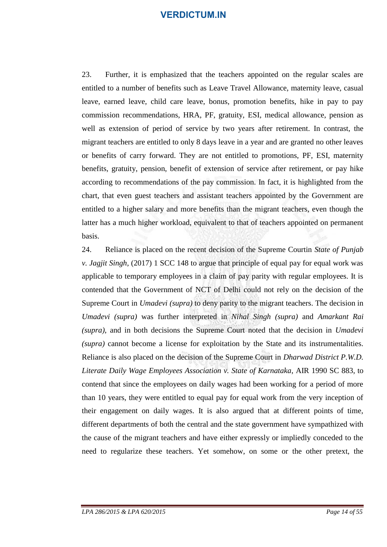23. Further, it is emphasized that the teachers appointed on the regular scales are entitled to a number of benefits such as Leave Travel Allowance, maternity leave, casual leave, earned leave, child care leave, bonus, promotion benefits, hike in pay to pay commission recommendations, HRA, PF, gratuity, ESI, medical allowance, pension as well as extension of period of service by two years after retirement. In contrast, the migrant teachers are entitled to only 8 days leave in a year and are granted no other leaves or benefits of carry forward. They are not entitled to promotions, PF, ESI, maternity benefits, gratuity, pension, benefit of extension of service after retirement, or pay hike according to recommendations of the pay commission. In fact, it is highlighted from the chart, that even guest teachers and assistant teachers appointed by the Government are entitled to a higher salary and more benefits than the migrant teachers, even though the latter has a much higher workload, equivalent to that of teachers appointed on permanent basis.

24. Reliance is placed on the recent decision of the Supreme Courtin *State of Punjab v. Jagjit Singh*, (2017) 1 SCC 148 to argue that principle of equal pay for equal work was applicable to temporary employees in a claim of pay parity with regular employees. It is contended that the Government of NCT of Delhi could not rely on the decision of the Supreme Court in *Umadevi (supra)* to deny parity to the migrant teachers. The decision in *Umadevi (supra)* was further interpreted in *Nihal Singh (supra)* and *Amarkant Rai (supra)*, and in both decisions the Supreme Court noted that the decision in *Umadevi (supra)* cannot become a license for exploitation by the State and its instrumentalities. Reliance is also placed on the decision of the Supreme Court in *Dharwad District P.W.D. Literate Daily Wage Employees Association v. State of Karnataka*, AIR 1990 SC 883, to contend that since the employees on daily wages had been working for a period of more than 10 years, they were entitled to equal pay for equal work from the very inception of their engagement on daily wages. It is also argued that at different points of time, different departments of both the central and the state government have sympathized with the cause of the migrant teachers and have either expressly or impliedly conceded to the need to regularize these teachers. Yet somehow, on some or the other pretext, the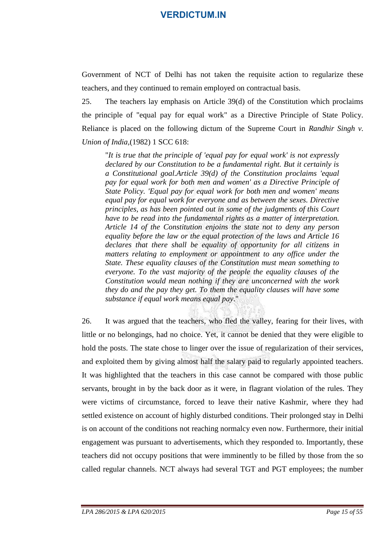Government of NCT of Delhi has not taken the requisite action to regularize these teachers, and they continued to remain employed on contractual basis.

25. The teachers lay emphasis on Article 39(d) of the Constitution which proclaims the principle of "equal pay for equal work" as a Directive Principle of State Policy. Reliance is placed on the following dictum of the Supreme Court in *Randhir Singh v. Union of India,*(1982) 1 SCC 618:

"*It is true that the principle of 'equal pay for equal work' is not expressly declared by our Constitution to be a fundamental right. But it certainly is a Constitutional goal.Article 39(d) of the Constitution proclaims 'equal pay for equal work for both men and women' as a Directive Principle of State Policy. 'Equal pay for equal work for both men and women' means equal pay for equal work for everyone and as between the sexes. Directive principles, as has been pointed out in some of the judgments of this Court have to be read into the fundamental rights as a matter of interpretation. Article 14 of the Constitution enjoins the state not to deny any person equality before the law or the equal protection of the laws and Article 16 declares that there shall be equality of opportunity for all citizens in matters relating to employment or appointment to any office under the State. These equality clauses of the Constitution must mean something to everyone. To the vast majority of the people the equality clauses of the Constitution would mean nothing if they are unconcerned with the work they do and the pay they get. To them the equality clauses will have some substance if equal work means equal pay*."

26. It was argued that the teachers, who fled the valley, fearing for their lives, with little or no belongings, had no choice. Yet, it cannot be denied that they were eligible to hold the posts. The state chose to linger over the issue of regularization of their services, and exploited them by giving almost half the salary paid to regularly appointed teachers. It was highlighted that the teachers in this case cannot be compared with those public servants, brought in by the back door as it were, in flagrant violation of the rules. They were victims of circumstance, forced to leave their native Kashmir, where they had settled existence on account of highly disturbed conditions. Their prolonged stay in Delhi is on account of the conditions not reaching normalcy even now. Furthermore, their initial engagement was pursuant to advertisements, which they responded to. Importantly, these teachers did not occupy positions that were imminently to be filled by those from the so called regular channels. NCT always had several TGT and PGT employees; the number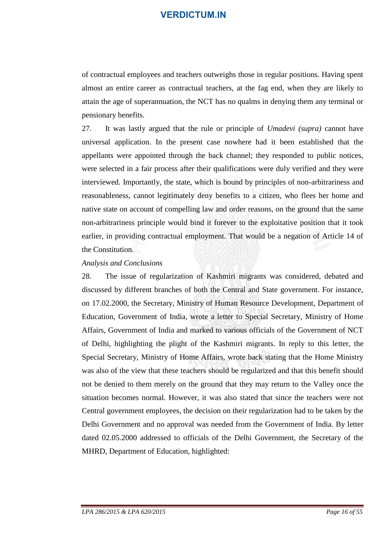of contractual employees and teachers outweighs those in regular positions. Having spent almost an entire career as contractual teachers, at the fag end, when they are likely to attain the age of superannuation, the NCT has no qualms in denying them any terminal or pensionary benefits.

27. It was lastly argued that the rule or principle of *Umadevi (supra)* cannot have universal application. In the present case nowhere had it been established that the appellants were appointed through the back channel; they responded to public notices, were selected in a fair process after their qualifications were duly verified and they were interviewed. Importantly, the state, which is bound by principles of non-arbitrariness and reasonableness, cannot legitimately deny benefits to a citizen, who flees her home and native state on account of compelling law and order reasons, on the ground that the same non-arbitrariness principle would bind it forever to the exploitative position that it took earlier, in providing contractual employment. That would be a negation of Article 14 of the Constitution.

#### *Analysis and Conclusions*

28. The issue of regularization of Kashmiri migrants was considered, debated and discussed by different branches of both the Central and State government. For instance, on 17.02.2000, the Secretary, Ministry of Human Resource Development, Department of Education, Government of India, wrote a letter to Special Secretary, Ministry of Home Affairs, Government of India and marked to various officials of the Government of NCT of Delhi, highlighting the plight of the Kashmiri migrants. In reply to this letter, the Special Secretary, Ministry of Home Affairs, wrote back stating that the Home Ministry was also of the view that these teachers should be regularized and that this benefit should not be denied to them merely on the ground that they may return to the Valley once the situation becomes normal. However, it was also stated that since the teachers were not Central government employees, the decision on their regularization had to be taken by the Delhi Government and no approval was needed from the Government of India. By letter dated 02.05.2000 addressed to officials of the Delhi Government, the Secretary of the MHRD, Department of Education, highlighted: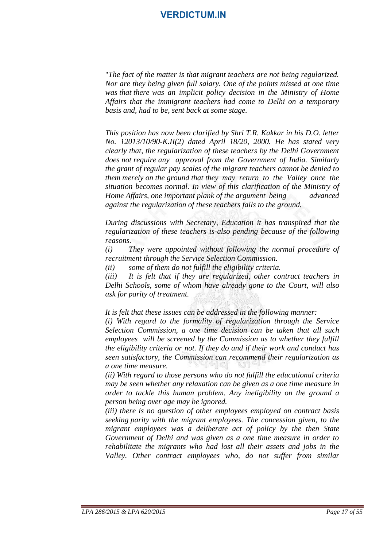"*The fact of the matter is that migrant teachers are not being regularized. Nor are they being given full salary. One of the points missed at one time was that there was an implicit policy decision in the Ministry of Home Affairs that the immigrant teachers had come to Delhi on a temporary basis and, had to be, sent back at some stage.*

*This position has now been clarified by Shri T.R. Kakkar in his D.O. letter No. 12013/10/90-K.II(2) dated April 18/20, 2000. He has stated very clearly that, the regularization of these teachers by the Delhi Government does not require any approval from the Government of India. Similarly the grant of regular pay scales of the migrant teachers cannot be denied to them merely on the ground that they may return to the Valley once the situation becomes normal. In view of this clarification of the Ministry of Home Affairs, one important plank of the argument being advanced against the regularization of these teachers falls to the ground.*

*During discussions with Secretary, Education it has transpired that the regularization of these teachers is-also pending because of the following reasons.*

*(i) They were appointed without following the normal procedure of recruitment through the Service Selection Commission.*

*(ii) some of them do not fulfill the eligibility criteria.*

*(iii) It is felt that if they are regularized, other contract teachers in Delhi Schools, some of whom have already gone to the Court, will also ask for parity of treatment.*

*It is felt that these issues can be addressed in the following manner:*

*(i) With regard to the formality of regularization through the Service Selection Commission, a one time decision can be taken that all such employees will be screened by the Commission as to whether they fulfill the eligibility criteria or not. If they do and if their work and conduct has seen satisfactory, the Commission can recommend their regularization as a one time measure.*

*(ii) With regard to those persons who do not fulfill the educational criteria may be seen whether any relaxation can be given as a one time measure in order to tackle this human problem. Any ineligibility on the ground a person being over age may be ignored.*

*(iii) there is no question of other employees employed on contract basis seeking parity with the migrant employees. The concession given, to the migrant employees was a deliberate act of policy by the then State Government of Delhi and was given as a one time measure in order to rehabilitate the migrants who had lost all their assets and jobs in the Valley. Other contract employees who, do not suffer from similar*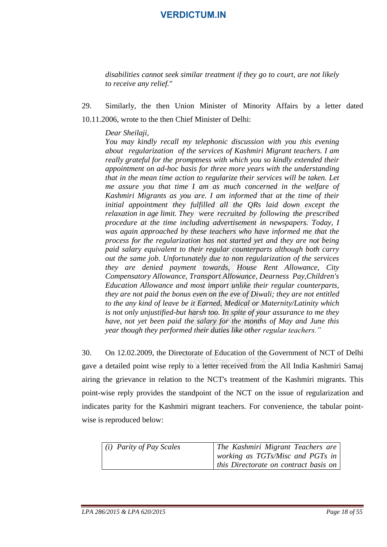*disabilities cannot seek similar treatment if they go to court, are not likely to receive any relief.*"

29. Similarly, the then Union Minister of Minority Affairs by a letter dated 10.11.2006, wrote to the then Chief Minister of Delhi:

*Dear Sheilaji,*

*You may kindly recall my telephonic discussion with you this evening about regularization of the services of Kashmiri Migrant teachers. I am really grateful for the promptness with which you so kindly extended their appointment on ad-hoc basis for three more years with the understanding that in the mean time action to regularize their services will be taken. Let me assure you that time I am as much concerned in the welfare of Kashmiri Migrants as you are. I am informed that at the time of their initial appointment they fulfilled all the QRs laid down except the relaxation in age limit. They were recruited by following the prescribed procedure at the time including advertisement in newspapers. Today, I was again approached by these teachers who have informed me that the process for the regularization has not started yet and they are not being paid salary equivalent to their regular counterparts although both carry out the same job. Unfortunately due to non regularization of the services they are denied payment towards, House Rent Allowance, City Compensatory Allowance, Transport Allowance, Dearness Pay,Children's Education Allowance and most import unlike their regular counterparts, they are not paid the bonus even on the eve of Diwali; they are not entitled to the any kind of leave be it Earned, Medical or Maternity/Latinity which is not only unjustified-but harsh too. In spite of your assurance to me they have, not yet been paid the salary for the months of May and June this year though they performed their duties like other regular teachers."*

30. On 12.02.2009, the Directorate of Education of the Government of NCT of Delhi gave a detailed point wise reply to a letter received from the All India Kashmiri Samaj airing the grievance in relation to the NCT's treatment of the Kashmiri migrants. This point-wise reply provides the standpoint of the NCT on the issue of regularization and indicates parity for the Kashmiri migrant teachers. For convenience, the tabular pointwise is reproduced below:

| $(i)$ Parity of Pay Scales | The Kashmiri Migrant Teachers are<br>  working as TGTs/Misc and PGTs in $\vert$ |
|----------------------------|---------------------------------------------------------------------------------|
|                            | this Directorate on contract basis on                                           |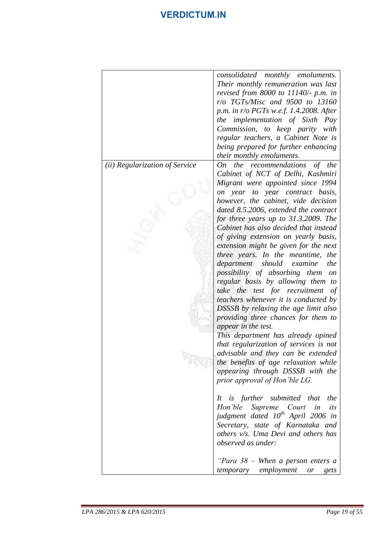|                                | consolidated monthly emoluments.<br>Their monthly remuneration was last<br>revised from 8000 to 11140/- p.m. in<br>r/o TGTs/Misc and 9500 to 13160<br>p.m. in r/o PGTs w.e.f. 1.4.2008. After<br>the implementation of Sixth Pay<br>Commission, to keep parity with<br>regular teachers, a Cabinet Note is<br>being prepared for further enhancing<br>their monthly emoluments.                                                                                                                                                                                                                                                                                                                                                                                                                                                                                                                                                                                                                                                                                                                                                                                                                                                     |
|--------------------------------|-------------------------------------------------------------------------------------------------------------------------------------------------------------------------------------------------------------------------------------------------------------------------------------------------------------------------------------------------------------------------------------------------------------------------------------------------------------------------------------------------------------------------------------------------------------------------------------------------------------------------------------------------------------------------------------------------------------------------------------------------------------------------------------------------------------------------------------------------------------------------------------------------------------------------------------------------------------------------------------------------------------------------------------------------------------------------------------------------------------------------------------------------------------------------------------------------------------------------------------|
| (ii) Regularization of Service | On the recommendations<br>of the<br>Cabinet of NCT of Delhi, Kashmiri<br>Migrant were appointed since 1994<br>year to year contract basis,<br><i>on</i><br>however, the cabinet, vide decision<br>dated 8.5.2006, extended the contract<br>for three years up to 31.3.2009. The<br>Cabinet has also decided that instead<br>of giving extension on yearly basis,<br>extension might be given for the next<br>three years. In the meantime,<br>the<br>department<br>should<br>the<br>examine<br>possibility of absorbing them on<br>regular basis by allowing them to<br>take the test for recruitment<br>of<br>teachers whenever it is conducted by<br><b>DSSSB</b> by relaxing the age limit also<br>providing three chances for them to<br>appear in the test.<br>This department has already opined<br>that regularization of services is not<br>advisable and they can be extended<br>the benefits of age relaxation while<br>appearing through DSSSB with the<br>prior approval of Hon'ble LG.<br>It is further submitted that<br>the<br>Hon'ble Supreme Court<br>in<br>its<br>judgment dated 10 <sup>th</sup> April 2006 in<br>Secretary, state of Karnataka and<br>others v/s. Uma Devi and others has<br>observed as under: |
|                                | "Para $38$ – When a person enters a<br>temporary employment<br>gets<br>or                                                                                                                                                                                                                                                                                                                                                                                                                                                                                                                                                                                                                                                                                                                                                                                                                                                                                                                                                                                                                                                                                                                                                           |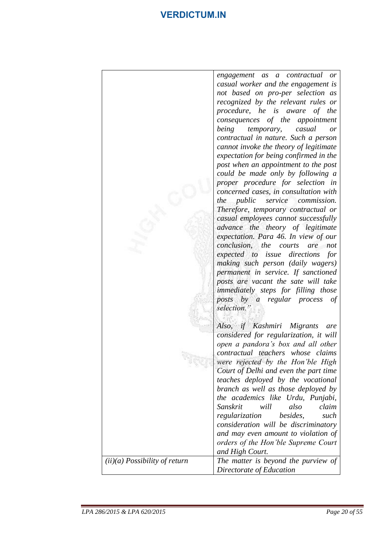|                                 | engagement as a contractual or<br>casual worker and the engagement is                                     |
|---------------------------------|-----------------------------------------------------------------------------------------------------------|
|                                 | not based on pro-per selection as<br>recognized by the relevant rules or<br>procedure, he is aware of the |
|                                 | consequences of the appointment                                                                           |
|                                 | being<br>temporary,<br>casual<br>or<br>contractual in nature. Such a person                               |
|                                 | cannot invoke the theory of legitimate                                                                    |
|                                 | expectation for being confirmed in the<br>post when an appointment to the post                            |
|                                 | could be made only by following a<br>proper procedure for selection in                                    |
|                                 | concerned cases, in consultation with                                                                     |
|                                 | service commission.<br><i>the public</i><br>Therefore, temporary contractual or                           |
|                                 | casual employees cannot successfully                                                                      |
|                                 | advance the theory of legitimate<br>expectation. Para 46. In view of our                                  |
|                                 | conclusion, the courts<br>are<br>not                                                                      |
|                                 | expected to issue directions<br>for<br>making such person (daily wagers)                                  |
|                                 | permanent in service. If sanctioned<br>posts are vacant the sate will take                                |
|                                 | immediately steps for filling those                                                                       |
|                                 | posts by a regular process<br>οf<br>selection."                                                           |
|                                 | Also, if Kashmiri Migrants<br>are                                                                         |
|                                 | considered for regularization, it will                                                                    |
|                                 | open a pandora's box and all other<br>contractual teachers whose claims                                   |
|                                 | were rejected by the Hon'ble High                                                                         |
|                                 | Court of Delhi and even the part time<br>teaches deployed by the vocational                               |
|                                 | branch as well as those deployed by                                                                       |
|                                 | the academics like Urdu, Punjabi,<br>claim<br>will<br>Sanskrit<br>also                                    |
|                                 | besides,<br>regularization<br>such<br>consideration will be discriminatory                                |
|                                 | and may even amount to violation of                                                                       |
|                                 | orders of the Hon'ble Supreme Court<br>and High Court.                                                    |
| $(ii)(a)$ Possibility of return | The matter is beyond the purview of                                                                       |
|                                 | Directorate of Education                                                                                  |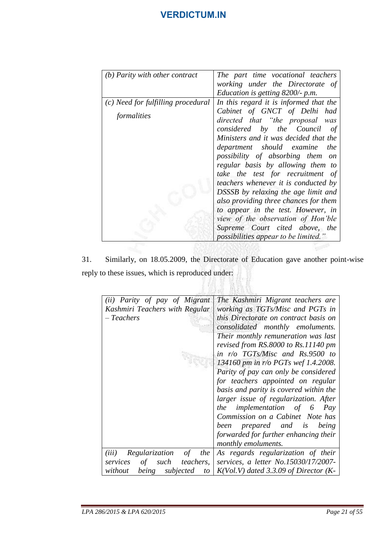| $(b)$ Parity with other contract   | The part time vocational teachers            |
|------------------------------------|----------------------------------------------|
|                                    | working under the Directorate of             |
|                                    | Education is getting 8200/- p.m.             |
| (c) Need for fulfilling procedural | In this regard it is informed that the       |
| formalities                        | Cabinet of GNCT of Delhi had                 |
|                                    | directed that "the proposal was              |
|                                    | considered by the Council<br>- of            |
|                                    | Ministers and it was decided that the        |
|                                    | department should examine the                |
|                                    | possibility of absorbing them on             |
|                                    | regular basis by allowing them to            |
|                                    | take the test for recruitment of             |
|                                    | teachers whenever it is conducted by         |
|                                    | DSSSB by relaxing the age limit and          |
|                                    | also providing three chances for them        |
|                                    | to appear in the test. However, in           |
|                                    | view of the observation of Hon'ble           |
|                                    | Supreme Court cited above, the               |
|                                    | <i>possibilities appear to be limited.</i> " |
|                                    |                                              |

31. Similarly, on 18.05.2009, the Directorate of Education gave another point-wise reply to these issues, which is reproduced under:

/ 竹山 黄麻黄

| (ii) Parity of pay of Migrant              | The Kashmiri Migrant teachers are            |  |
|--------------------------------------------|----------------------------------------------|--|
| Kashmiri Teachers with Regular             | working as TGTs/Misc and PGTs in             |  |
| – Teachers                                 | this Directorate on contract basis on        |  |
|                                            | consolidated monthly emoluments.             |  |
|                                            | Their monthly remuneration was last          |  |
|                                            | revised from RS.8000 to Rs.11140 pm          |  |
|                                            | in r/o TGTs/Misc and Rs.9500 to              |  |
|                                            | 134160 pm in $r/o$ PGTs wef 1.4.2008.        |  |
|                                            | Parity of pay can only be considered         |  |
|                                            | for teachers appointed on regular            |  |
|                                            | basis and parity is covered within the       |  |
|                                            | larger issue of regularization. After        |  |
|                                            | the implementation of 6<br>Pay               |  |
|                                            | Commission on a Cabinet Note has             |  |
|                                            | been prepared and is<br>being                |  |
|                                            | forwarded for further enhancing their        |  |
|                                            | monthly emoluments.                          |  |
| Regularization of<br>the<br>(iii)          | As regards regularization of their           |  |
| such<br><i>teachers,</i><br>services<br>of | services, a letter No.15030/17/2007-         |  |
| being subjected<br>without                 | to   $K(Vol.V)$ dated 3.3.09 of Director (K- |  |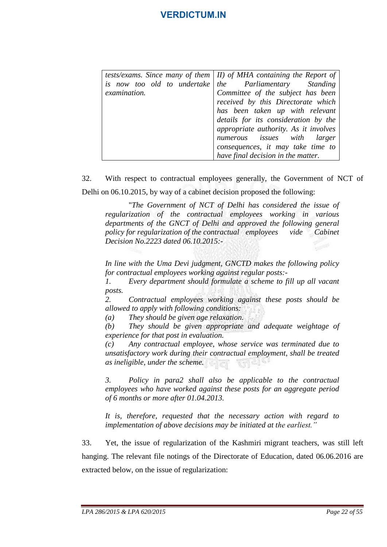|              | tests/exams. Since many of them $ $ II) of MHA containing the Report of |
|--------------|-------------------------------------------------------------------------|
|              | is now too old to undertake   the Parliamentary Standing                |
| examination. | Committee of the subject has been                                       |
|              | received by this Directorate which                                      |
|              | has been taken up with relevant                                         |
|              | details for its consideration by the                                    |
|              | appropriate authority. As it involves                                   |
|              | numerous issues with larger                                             |
|              | consequences, it may take time to                                       |
|              |                                                                         |
|              | have final decision in the matter.                                      |

32. With respect to contractual employees generally, the Government of NCT of Delhi on 06.10.2015, by way of a cabinet decision proposed the following:

"*The Government of NCT of Delhi has considered the issue of regularization of the contractual employees working in various departments of the GNCT of Delhi and approved the following general policy for regularization of the contractual employees vide Cabinet Decision No.2223 dated 06.10.2015:-*

*In line with the Uma Devi judgment, GNCTD makes the following policy for contractual employees working against regular posts:-*

*1. Every department should formulate a scheme to fill up all vacant posts.*

*2. Contractual employees working against these posts should be allowed to apply with following conditions:*

*(a) They should be given age relaxation.*

*(b) They should be given appropriate and adequate weightage of experience for that post in evaluation.*

*(c) Any contractual employee, whose service was terminated due to unsatisfactory work during their contractual employment, shall be treated as ineligible, under the scheme.*

*3. Policy in para2 shall also be applicable to the contractual employees who have worked against these posts for an aggregate period of 6 months or more after 01.04.2013.*

*It is, therefore, requested that the necessary action with regard to implementation of above decisions may be initiated at the earliest."*

33. Yet, the issue of regularization of the Kashmiri migrant teachers, was still left hanging. The relevant file notings of the Directorate of Education, dated 06.06.2016 are extracted below, on the issue of regularization: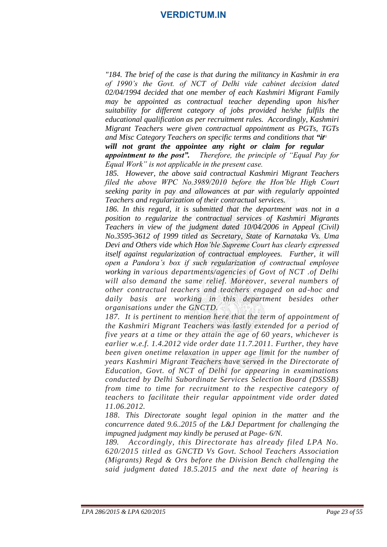*and Misc Category Teachers on specific terms and conditions that "it" "184. The brief of the case is that during the militancy in Kashmir in era of 1990's the Govt. of NCT of Delhi vide cabinet decision dated 02/04/1994 decided that one member of each Kashmiri Migrant Family may be appointed as contractual teacher depending upon his/her suitability for different category of jobs provided he/she fulfils the educational qualification as per recruitment rules. Accordingly, Kashmiri Migrant Teachers were given contractual appointment as PGTs, TGTs* 

*will not grant the appointee any right or claim for regular appointment to the post". Therefore, the principle of "Equal Pay for Equal Work" is not applicable in the present case.*

*185. However, the above said contractual Kashmiri Migrant Teachers filed the above WPC No.3989/2010 before the Hon'ble High Court seeking parity in pay and allowances at par with regularly appointed Teachers and regularization of their contractual services.*

*186. In this regard, it is submitted that the department was not in a position to regularize the contractual services of Kashmiri Migrants Teachers in view of the judgment dated 10/04/2006 in Appeal (Civil) No.3595-3612 of 1999 titled as Secretary, State of Karnataka Vs. Uma Devi and Others vide which Hon'ble Supreme Court has clearly expressed itself against regularization of contractual employees. Further, it will open a Pandora's box if such regularization of contractual employee working in various departments/agencies of Govt of NCT .of Delhi will also demand the same relief. Moreover, several numbers of other contractual teachers and teachers engaged on ad-hoc and daily basis are working in this department besides other organisations under the GNCTD.*

*187. It is pertinent to mention here that the term of appointment of the Kashmiri Migrant Teachers was lastly extended for a period of five years at a time or they attain the age of 60 years, whichever is earlier w.e.f. 1.4.2012 vide order date 11.7.2011. Further, they have been given onetime relaxation in upper age limit for the number of years Kashmiri Migrant Teachers have served in the Directorate of Education, Govt. of NCT of Delhi for appearing in examinations conducted by Delhi Subordinate Services Selection Board (DSSSB) from time to time for recruitment to the respective category of teachers to facilitate their regular appointment vide order dated 11.06.2012.*

*188. This Directorate sought legal opinion in the matter and the concurrence dated 9.6..2015 of the L&J Department for challenging the impugned judgment may kindly be perused at Page- 6/N.*

*189. Accordingly, this Directorate has already filed LPA No. 620/2015 titled as GNCTD Vs Govt. School Teachers Association (Migrants) Regd & Ors before the Division Bench challenging the said judgment dated 18.5.2015 and the next date of hearing is*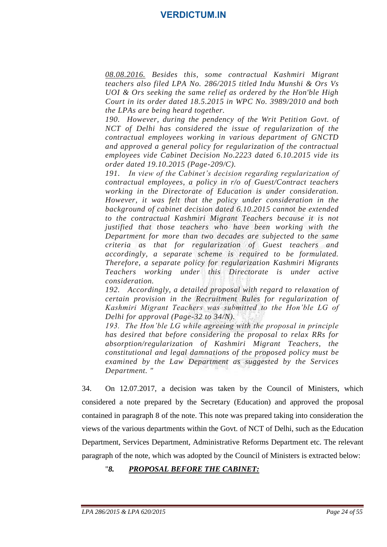*08.08.2016. Besides this, some contractual Kashmiri Migrant teachers also filed LPA No. 286/2015 titled Indu Munshi & Ors Vs UOI & Ors seeking the same relief as ordered by the Hon'ble High Court in its order dated 18.5.2015 in WPC No. 3989/2010 and both the LPAs are being heard together.*

*190. However, during the pendency of the Writ Petition Govt. of NCT of Delhi has considered the issue of regularization of the contractual employees working in various department of GNCTD and approved a general policy for regularization of the contractual employees vide Cabinet Decision No.2223 dated 6.10.2015 vide its order dated 19.10.2015 (Page-209/C).*

*191. In view of the Cabinet's decision regarding regularization of contractual employees, a policy in r/o of Guest/Contract teachers working in the Directorate of Education is under consideration. However, it was felt that the policy under consideration in the background of cabinet decision dated 6.10.2015 cannot be extended to the contractual Kashmiri Migrant Teachers because it is not justified that those teachers who have been working with the Department for more than two decades are subjected to the same criteria as that for regularization of Guest teachers and accordingly, a separate scheme is required to be formulated. Therefore, a separate policy for regularization Kashmiri Migrants Teachers working under this Directorate is under active consideration.* 

*192. Accordingly, a detailed proposal with regard to relaxation of certain provision in the Recruitment Rules for regularization of Kashmiri Migrant Teachers was submitted to the Hon'ble LG of Delhi for approval (Page-32 to 34/N).*

*193. The Hon'ble LG while agreeing with the proposal in principle has desired that before considering the proposal to relax RRs for absorption/regularization of Kashmiri Migrant Teachers, the constitutional and legal damnations of the proposed policy must be examined by the Law Department as suggested by the Services Department. "*

34. On 12.07.2017, a decision was taken by the Council of Ministers, which considered a note prepared by the Secretary (Education) and approved the proposal contained in paragraph 8 of the note. This note was prepared taking into consideration the views of the various departments within the Govt. of NCT of Delhi, such as the Education Department, Services Department, Administrative Reforms Department etc. The relevant paragraph of the note, which was adopted by the Council of Ministers is extracted below:

### "*8. PROPOSAL BEFORE THE CABINET:*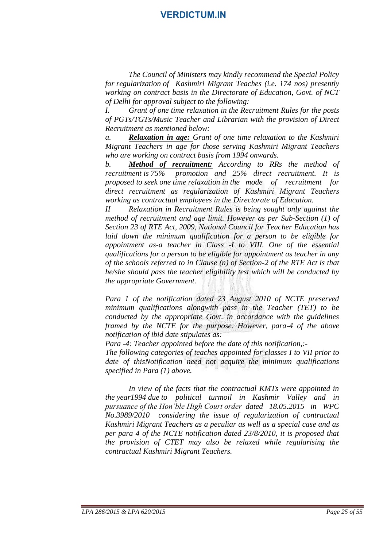*The Council of Ministers may kindly recommend the Special Policy for regularization of Kashmiri Migrant Teaches (i.e. 174 nos) presently working on contract basis in the Directorate of Education, Govt. of NCT of Delhi for approval subject to the following:*

*I. Grant of one time relaxation in the Recruitment Rules for the posts of PGTs/TGTs/Music Teacher and Librarian with the provision of Direct Recruitment as mentioned below:*

*a. Relaxation in age: Grant of one time relaxation to the Kashmiri Migrant Teachers in age for those serving Kashmiri Migrant Teachers who are working on contract basis from 1994 onwards.*

*b. Method of recruitment: According to RRs the method of recruitment is 75% promotion and 25% direct recruitment. It is proposed to seek one time relaxation in the mode of recruitment for direct recruitment as regularization of Kashmiri Migrant Teachers working as contractual employees in the Directorate of Education.*

*II Relaxation in Recruitment Rules is being sought only against the method of recruitment and age limit. However as per Sub-Section (1) of Section 23 of RTE Act, 2009, National Council for Teacher Education has laid down the minimum qualification for a person to be eligible for appointment as-a teacher in Class -I to VIII. One of the essential qualifications for a person to be eligible for appointment as teacher in any of the schools referred to in Clause (n) of Section-2 of the RTE Act is that he/she should pass the teacher eligibility test which will be conducted by the appropriate Government.*

*Para 1 of the notification dated 23 August 2010 of NCTE preserved minimum qualifications alongwith pass in the Teacher (TET) to be conducted by the appropriate Govt. in accordance with the guidelines framed by the NCTE for the purpose. However, para-4 of the above notification of ibid date stipulates as:*

*Para -4: Teacher appointed before the date of this notification,:-*

*The following categories of teaches appointed for classes I to VII prior to date of thisNotification need not acquire the minimum qualifications specified in Para (1) above.*

*In view of the facts that the contractual KMTs were appointed in the year1994 due to political turmoil in Kashmir Valley and in pursuance of the Hon'ble High Court order dated 18.05.2015 in WPC No.3989/2010 considering the issue of regularization of contractual Kashmiri Migrant Teachers as a peculiar as well as a special case and as per para 4 of the NCTE notification dated 23/8/2010, it is proposed that the provision of CTET may also be relaxed while regularising the contractual Kashmiri Migrant Teachers.*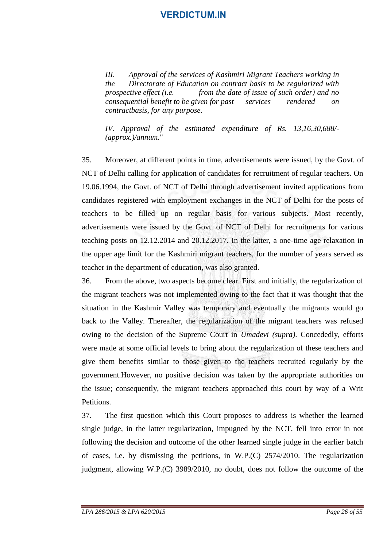*III. Approval of the services of Kashmiri Migrant Teachers working in the Directorate of Education on contract basis to be regularized with prospective effect (i.e. from the date of issue of such order) and no consequential benefit to be given for past services rendered on contractbasis, for any purpose.* 

*IV. Approval of the estimated expenditure of Rs. 13,16,30,688/- (approx.)/annum.*"

35. Moreover, at different points in time, advertisements were issued, by the Govt. of NCT of Delhi calling for application of candidates for recruitment of regular teachers. On 19.06.1994, the Govt. of NCT of Delhi through advertisement invited applications from candidates registered with employment exchanges in the NCT of Delhi for the posts of teachers to be filled up on regular basis for various subjects. Most recently, advertisements were issued by the Govt. of NCT of Delhi for recruitments for various teaching posts on 12.12.2014 and 20.12.2017. In the latter, a one-time age relaxation in the upper age limit for the Kashmiri migrant teachers, for the number of years served as teacher in the department of education, was also granted.

36. From the above, two aspects become clear. First and initially, the regularization of the migrant teachers was not implemented owing to the fact that it was thought that the situation in the Kashmir Valley was temporary and eventually the migrants would go back to the Valley. Thereafter, the regularization of the migrant teachers was refused owing to the decision of the Supreme Court in *Umadevi (supra)*. Concededly, efforts were made at some official levels to bring about the regularization of these teachers and give them benefits similar to those given to the teachers recruited regularly by the government.However, no positive decision was taken by the appropriate authorities on the issue; consequently, the migrant teachers approached this court by way of a Writ Petitions.

37. The first question which this Court proposes to address is whether the learned single judge, in the latter regularization, impugned by the NCT, fell into error in not following the decision and outcome of the other learned single judge in the earlier batch of cases, i.e. by dismissing the petitions, in W.P.(C) 2574/2010. The regularization judgment, allowing W.P.(C) 3989/2010, no doubt, does not follow the outcome of the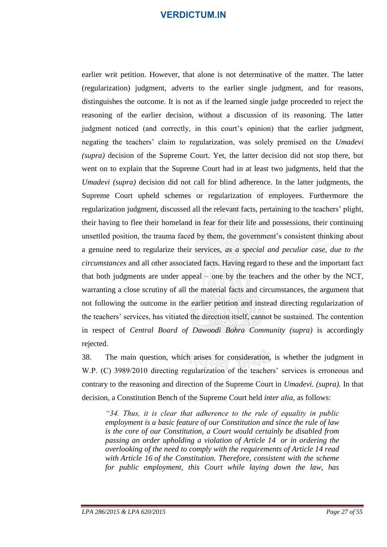earlier writ petition. However, that alone is not determinative of the matter. The latter (regularization) judgment, adverts to the earlier single judgment, and for reasons, distinguishes the outcome. It is not as if the learned single judge proceeded to reject the reasoning of the earlier decision, without a discussion of its reasoning. The latter judgment noticed (and correctly, in this court's opinion) that the earlier judgment, negating the teachers' claim to regularization, was solely premised on the *Umadevi (supra)* decision of the Supreme Court. Yet, the latter decision did not stop there, but went on to explain that the Supreme Court had in at least two judgments, held that the *Umadevi (supra)* decision did not call for blind adherence. In the latter judgments, the Supreme Court upheld schemes or regularization of employees. Furthermore the regularization judgment, discussed all the relevant facts, pertaining to the teachers' plight, their having to flee their homeland in fear for their life and possessions, their continuing unsettled position, the trauma faced by them, the government's consistent thinking about a genuine need to regularize their services, *as a special and peculiar case, due to the circumstances* and all other associated facts. Having regard to these and the important fact that both judgments are under appeal – one by the teachers and the other by the NCT, warranting a close scrutiny of all the material facts and circumstances, the argument that not following the outcome in the earlier petition and instead directing regularization of the teachers' services, has vitiated the direction itself, cannot be sustained. The contention in respect of *Central Board of Dawoodi Bohra Community (supra)* is accordingly rejected.

38. The main question, which arises for consideration, is whether the judgment in W.P. (C) 3989/2010 directing regularization of the teachers' services is erroneous and contrary to the reasoning and direction of the Supreme Court in *Umadevi. (supra)*. In that decision, a Constitution Bench of the Supreme Court held *inter alia,* as follows:

*"34. Thus, it is clear that adherence to the rule of equality in public employment is a basic feature of our Constitution and since the rule of law is the core of our Constitution, a Court would certainly be disabled from passing an order upholding a violation of Article 14 or in ordering the overlooking of the need to comply with the requirements of Article 14 read with Article 16 of the Constitution. Therefore, consistent with the scheme for public employment, this Court while laying down the law, has*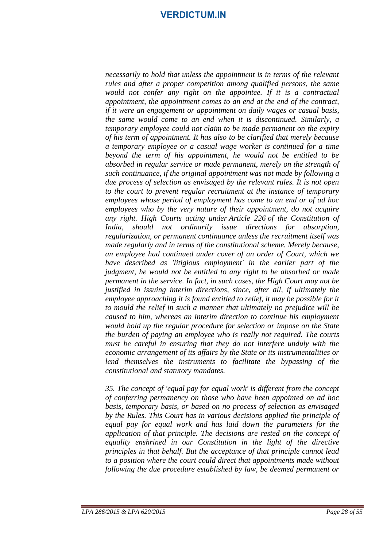*necessarily to hold that unless the appointment is in terms of the relevant rules and after a proper competition among qualified persons, the same would not confer any right on the appointee. If it is a contractual appointment, the appointment comes to an end at the end of the contract, if it were an engagement or appointment on daily wages or casual basis, the same would come to an end when it is discontinued. Similarly, a temporary employee could not claim to be made permanent on the expiry of his term of appointment. It has also to be clarified that merely because a temporary employee or a casual wage worker is continued for a time beyond the term of his appointment, he would not be entitled to be absorbed in regular service or made permanent, merely on the strength of such continuance, if the original appointment was not made by following a due process of selection as envisaged by the relevant rules. It is not open to the court to prevent regular recruitment at the instance of temporary employees whose period of employment has come to an end or of ad hoc employees who by the very nature of their appointment, do not acquire any right. High Courts acting under Article 226 of the Constitution of India, should not ordinarily issue directions for absorption, regularization, or permanent continuance unless the recruitment itself was made regularly and in terms of the constitutional scheme. Merely because, an employee had continued under cover of an order of Court, which we have described as 'litigious employment' in the earlier part of the judgment, he would not be entitled to any right to be absorbed or made permanent in the service. In fact, in such cases, the High Court may not be justified in issuing interim directions, since, after all, if ultimately the employee approaching it is found entitled to relief, it may be possible for it to mould the relief in such a manner that ultimately no prejudice will be caused to him, whereas an interim direction to continue his employment would hold up the regular procedure for selection or impose on the State the burden of paying an employee who is really not required. The courts must be careful in ensuring that they do not interfere unduly with the economic arrangement of its affairs by the State or its instrumentalities or lend themselves the instruments to facilitate the bypassing of the constitutional and statutory mandates.*

*35. The concept of 'equal pay for equal work' is different from the concept of conferring permanency on those who have been appointed on ad hoc basis, temporary basis, or based on no process of selection as envisaged by the Rules. This Court has in various decisions applied the principle of equal pay for equal work and has laid down the parameters for the application of that principle. The decisions are rested on the concept of equality enshrined in our Constitution in the light of the directive principles in that behalf. But the acceptance of that principle cannot lead to a position where the court could direct that appointments made without following the due procedure established by law, be deemed permanent or*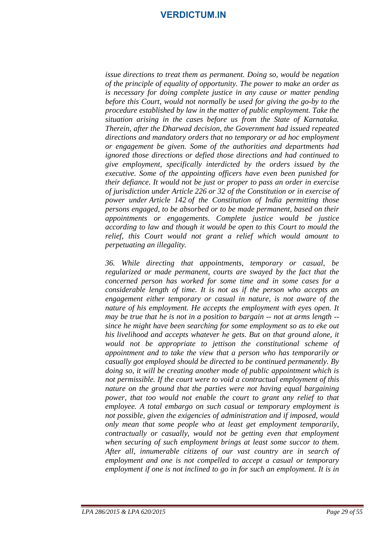*issue directions to treat them as permanent. Doing so, would be negation of the principle of equality of opportunity. The power to make an order as is necessary for doing complete justice in any cause or matter pending before this Court, would not normally be used for giving the go-by to the procedure established by law in the matter of public employment. Take the situation arising in the cases before us from the State of Karnataka. Therein, after the Dharwad decision, the Government had issued repeated directions and mandatory orders that no temporary or ad hoc employment or engagement be given. Some of the authorities and departments had ignored those directions or defied those directions and had continued to give employment, specifically interdicted by the orders issued by the executive. Some of the appointing officers have even been punished for their defiance. It would not be just or proper to pass an order in exercise of jurisdiction under Article 226 or 32 of the Constitution or in exercise of power under Article 142 of the Constitution of India permitting those persons engaged, to be absorbed or to be made permanent, based on their appointments or engagements. Complete justice would be justice according to law and though it would be open to this Court to mould the relief, this Court would not grant a relief which would amount to perpetuating an illegality.*

*36. While directing that appointments, temporary or casual, be regularized or made permanent, courts are swayed by the fact that the concerned person has worked for some time and in some cases for a considerable length of time. It is not as if the person who accepts an engagement either temporary or casual in nature, is not aware of the nature of his employment. He accepts the employment with eyes open. It may be true that he is not in a position to bargain -- not at arms length - since he might have been searching for some employment so as to eke out his livelihood and accepts whatever he gets. But on that ground alone, it would not be appropriate to jettison the constitutional scheme of appointment and to take the view that a person who has temporarily or casually got employed should be directed to be continued permanently. By doing so, it will be creating another mode of public appointment which is not permissible. If the court were to void a contractual employment of this nature on the ground that the parties were not having equal bargaining power, that too would not enable the court to grant any relief to that employee. A total embargo on such casual or temporary employment is not possible, given the exigencies of administration and if imposed, would only mean that some people who at least get employment temporarily, contractually or casually, would not be getting even that employment when securing of such employment brings at least some succor to them. After all, innumerable citizens of our vast country are in search of employment and one is not compelled to accept a casual or temporary employment if one is not inclined to go in for such an employment. It is in*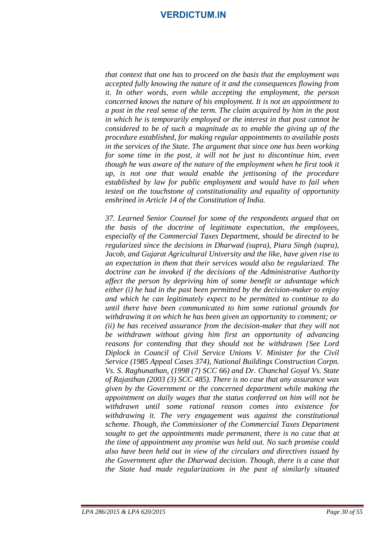*that context that one has to proceed on the basis that the employment was accepted fully knowing the nature of it and the consequences flowing from it. In other words, even while accepting the employment, the person concerned knows the nature of his employment. It is not an appointment to a post in the real sense of the term. The claim acquired by him in the post in which he is temporarily employed or the interest in that post cannot be considered to be of such a magnitude as to enable the giving up of the procedure established, for making regular appointments to available posts in the services of the State. The argument that since one has been working for some time in the post, it will not be just to discontinue him, even though he was aware of the nature of the employment when he first took it up, is not one that would enable the jettisoning of the procedure established by law for public employment and would have to fail when tested on the touchstone of constitutionality and equality of opportunity enshrined in Article 14 of the Constitution of India.*

*37. Learned Senior Counsel for some of the respondents argued that on the basis of the doctrine of legitimate expectation, the employees, especially of the Commercial Taxes Department, should be directed to be regularized since the decisions in Dharwad (supra), Piara Singh (supra), Jacob, and Gujarat Agricultural University and the like, have given rise to an expectation in them that their services would also be regularized. The doctrine can be invoked if the decisions of the Administrative Authority affect the person by depriving him of some benefit or advantage which either (i) he had in the past been permitted by the decision-maker to enjoy and which he can legitimately expect to be permitted to continue to do until there have been communicated to him some rational grounds for withdrawing it on which he has been given an opportunity to comment; or (ii) he has received assurance from the decision-maker that they will not be withdrawn without giving him first an opportunity of advancing reasons for contending that they should not be withdrawn {See Lord Diplock in Council of Civil Service Unions V. Minister for the Civil Service (1985 Appeal Cases 374), National Buildings Construction Corpn. Vs. S. Raghunathan, (1998 (7) SCC 66) and Dr. Chanchal Goyal Vs. State of Rajasthan (2003 (3) SCC 485). There is no case that any assurance was given by the Government or the concerned department while making the appointment on daily wages that the status conferred on him will not be withdrawn until some rational reason comes into existence for withdrawing it. The very engagement was against the constitutional scheme. Though, the Commissioner of the Commercial Taxes Department sought to get the appointments made permanent, there is no case that at the time of appointment any promise was held out. No such promise could also have been held out in view of the circulars and directives issued by the Government after the Dharwad decision. Though, there is a case that the State had made regularizations in the past of similarly situated*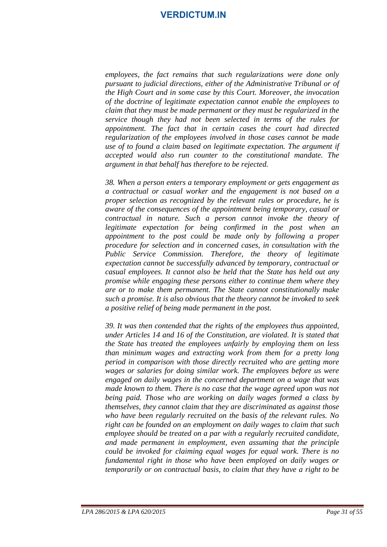*employees, the fact remains that such regularizations were done only pursuant to judicial directions, either of the Administrative Tribunal or of the High Court and in some case by this Court. Moreover, the invocation of the doctrine of legitimate expectation cannot enable the employees to claim that they must be made permanent or they must be regularized in the service though they had not been selected in terms of the rules for appointment. The fact that in certain cases the court had directed regularization of the employees involved in those cases cannot be made use of to found a claim based on legitimate expectation. The argument if accepted would also run counter to the constitutional mandate. The argument in that behalf has therefore to be rejected.*

*38. When a person enters a temporary employment or gets engagement as a contractual or casual worker and the engagement is not based on a proper selection as recognized by the relevant rules or procedure, he is aware of the consequences of the appointment being temporary, casual or contractual in nature. Such a person cannot invoke the theory of legitimate expectation for being confirmed in the post when an appointment to the post could be made only by following a proper procedure for selection and in concerned cases, in consultation with the Public Service Commission. Therefore, the theory of legitimate expectation cannot be successfully advanced by temporary, contractual or casual employees. It cannot also be held that the State has held out any promise while engaging these persons either to continue them where they are or to make them permanent. The State cannot constitutionally make such a promise. It is also obvious that the theory cannot be invoked to seek a positive relief of being made permanent in the post.*

*39. It was then contended that the rights of the employees thus appointed, under Articles 14 and 16 of the Constitution, are violated. It is stated that the State has treated the employees unfairly by employing them on less than minimum wages and extracting work from them for a pretty long period in comparison with those directly recruited who are getting more wages or salaries for doing similar work. The employees before us were engaged on daily wages in the concerned department on a wage that was made known to them. There is no case that the wage agreed upon was not being paid. Those who are working on daily wages formed a class by themselves, they cannot claim that they are discriminated as against those who have been regularly recruited on the basis of the relevant rules. No right can be founded on an employment on daily wages to claim that such employee should be treated on a par with a regularly recruited candidate, and made permanent in employment, even assuming that the principle could be invoked for claiming equal wages for equal work. There is no fundamental right in those who have been employed on daily wages or temporarily or on contractual basis, to claim that they have a right to be*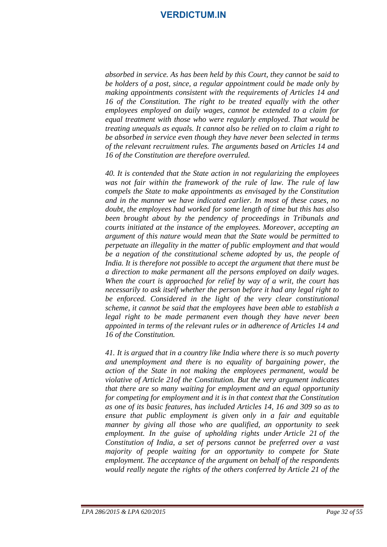*absorbed in service. As has been held by this Court, they cannot be said to be holders of a post, since, a regular appointment could be made only by making appointments consistent with the requirements of Articles 14 and 16 of the Constitution. The right to be treated equally with the other employees employed on daily wages, cannot be extended to a claim for equal treatment with those who were regularly employed. That would be treating unequals as equals. It cannot also be relied on to claim a right to be absorbed in service even though they have never been selected in terms of the relevant recruitment rules. The arguments based on Articles 14 and 16 of the Constitution are therefore overruled.*

*40. It is contended that the State action in not regularizing the employees was not fair within the framework of the rule of law. The rule of law compels the State to make appointments as envisaged by the Constitution and in the manner we have indicated earlier. In most of these cases, no doubt, the employees had worked for some length of time but this has also been brought about by the pendency of proceedings in Tribunals and courts initiated at the instance of the employees. Moreover, accepting an argument of this nature would mean that the State would be permitted to perpetuate an illegality in the matter of public employment and that would be a negation of the constitutional scheme adopted by us, the people of India. It is therefore not possible to accept the argument that there must be a direction to make permanent all the persons employed on daily wages. When the court is approached for relief by way of a writ, the court has necessarily to ask itself whether the person before it had any legal right to be enforced. Considered in the light of the very clear constitutional scheme, it cannot be said that the employees have been able to establish a legal right to be made permanent even though they have never been appointed in terms of the relevant rules or in adherence of Articles 14 and 16 of the Constitution.*

*41. It is argued that in a country like India where there is so much poverty and unemployment and there is no equality of bargaining power, the action of the State in not making the employees permanent, would be violative of Article 21of the Constitution. But the very argument indicates that there are so many waiting for employment and an equal opportunity for competing for employment and it is in that context that the Constitution as one of its basic features, has included Articles 14, 16 and 309 so as to ensure that public employment is given only in a fair and equitable manner by giving all those who are qualified, an opportunity to seek employment. In the guise of upholding rights under Article 21 of the Constitution of India, a set of persons cannot be preferred over a vast majority of people waiting for an opportunity to compete for State employment. The acceptance of the argument on behalf of the respondents would really negate the rights of the others conferred by Article 21 of the*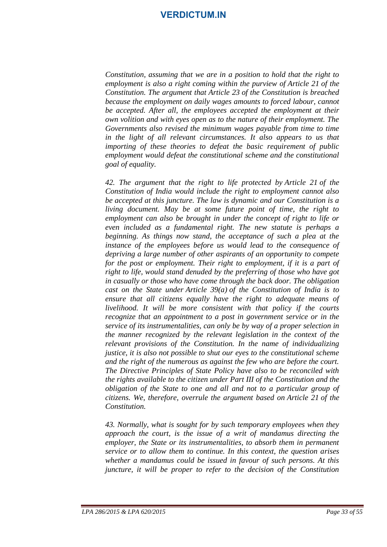*Constitution, assuming that we are in a position to hold that the right to employment is also a right coming within the purview of Article 21 of the Constitution. The argument that Article 23 of the Constitution is breached because the employment on daily wages amounts to forced labour, cannot be accepted. After all, the employees accepted the employment at their own volition and with eyes open as to the nature of their employment. The Governments also revised the minimum wages payable from time to time in the light of all relevant circumstances. It also appears to us that importing of these theories to defeat the basic requirement of public employment would defeat the constitutional scheme and the constitutional goal of equality.*

*42. The argument that the right to life protected by Article 21 of the Constitution of India would include the right to employment cannot also be accepted at this juncture. The law is dynamic and our Constitution is a living document. May be at some future point of time, the right to employment can also be brought in under the concept of right to life or even included as a fundamental right. The new statute is perhaps a beginning. As things now stand, the acceptance of such a plea at the instance of the employees before us would lead to the consequence of depriving a large number of other aspirants of an opportunity to compete*  for the post or employment. Their right to employment, if it is a part of *right to life, would stand denuded by the preferring of those who have got in casually or those who have come through the back door. The obligation cast on the State under Article 39(a) of the Constitution of India is to ensure that all citizens equally have the right to adequate means of livelihood. It will be more consistent with that policy if the courts recognize that an appointment to a post in government service or in the service of its instrumentalities, can only be by way of a proper selection in the manner recognized by the relevant legislation in the context of the relevant provisions of the Constitution. In the name of individualizing justice, it is also not possible to shut our eyes to the constitutional scheme and the right of the numerous as against the few who are before the court. The Directive Principles of State Policy have also to be reconciled with the rights available to the citizen under Part III of the Constitution and the obligation of the State to one and all and not to a particular group of citizens. We, therefore, overrule the argument based on Article 21 of the Constitution.*

*43. Normally, what is sought for by such temporary employees when they approach the court, is the issue of a writ of mandamus directing the employer, the State or its instrumentalities, to absorb them in permanent service or to allow them to continue. In this context, the question arises whether a mandamus could be issued in favour of such persons. At this juncture, it will be proper to refer to the decision of the Constitution*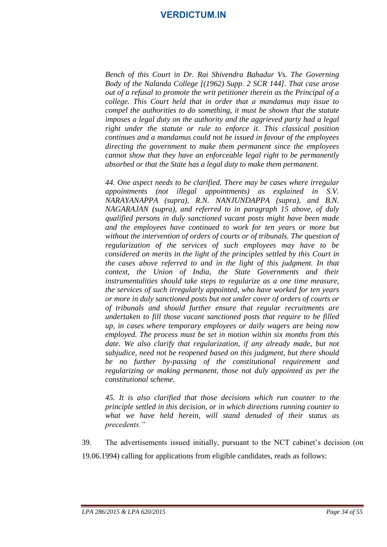*Bench of this Court in Dr. Rai Shivendra Bahadur Vs. The Governing Body of the Nalanda College [(1962) Supp. 2 SCR 144]. That case arose out of a refusal to promote the writ petitioner therein as the Principal of a college. This Court held that in order that a mandamus may issue to compel the authorities to do something, it must be shown that the statute imposes a legal duty on the authority and the aggrieved party had a legal right under the statute or rule to enforce it. This classical position continues and a mandamus could not be issued in favour of the employees directing the government to make them permanent since the employees cannot show that they have an enforceable legal right to be permanently absorbed or that the State has a legal duty to make them permanent.*

*44. One aspect needs to be clarified. There may be cases where irregular appointments (not illegal appointments) as explained in S.V. NARAYANAPPA (supra), R.N. NANJUNDAPPA (supra), and B.N. NAGARAJAN (supra), and referred to in paragraph 15 above, of duly qualified persons in duly sanctioned vacant posts might have been made and the employees have continued to work for ten years or more but without the intervention of orders of courts or of tribunals. The question of regularization of the services of such employees may have to be considered on merits in the light of the principles settled by this Court in the cases above referred to and in the light of this judgment. In that context, the Union of India, the State Governments and their instrumentalities should take steps to regularize as a one time measure, the services of such irregularly appointed, who have worked for ten years or more in duly sanctioned posts but not under cover of orders of courts or of tribunals and should further ensure that regular recruitments are undertaken to fill those vacant sanctioned posts that require to be filled up, in cases where temporary employees or daily wagers are being now employed. The process must be set in motion within six months from this date. We also clarify that regularization, if any already made, but not subjudice, need not be reopened based on this judgment, but there should be no further by-passing of the constitutional requirement and regularizing or making permanent, those not duly appointed as per the constitutional scheme.*

*45. It is also clarified that those decisions which run counter to the principle settled in this decision, or in which directions running counter to what we have held herein, will stand denuded of their status as precedents."*

39. The advertisements issued initially, pursuant to the NCT cabinet's decision (on 19.06.1994) calling for applications from eligible candidates, reads as follows: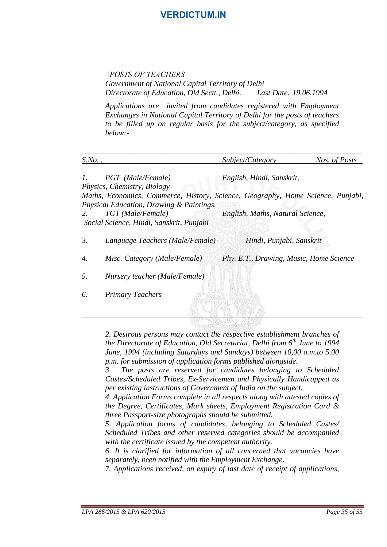*"POSTS OF TEACHERS*

*Government of National Capital Territory of Delhi Directorate of Education, Old Sectt., Delhi. Last Date: 19.06.1994*

*Applications are invited from candidates registered with Employment Exchanges in National Capital Territory of Delhi for the posts of teachers to be filled up on regular basis for the subject/category, as specified below:-*

| $S$ .No.,       |                                          | Subject/Category                                                                | Nos. of Posts                           |
|-----------------|------------------------------------------|---------------------------------------------------------------------------------|-----------------------------------------|
| $\mathfrak{1}.$ | PGT (Male/Female)                        | English, Hindi, Sanskrit,                                                       |                                         |
|                 | Physics, Chemistry, Biology              |                                                                                 |                                         |
|                 | Physical Education, Drawing & Paintings. | Maths, Economics, Commerce, History, Science, Geography, Home Science, Punjabi, |                                         |
| 2.              | TGT (Male/Female)                        | English, Maths, Natural Science,                                                |                                         |
|                 | Social Science, Hindi, Sanskrit, Punjabi |                                                                                 |                                         |
| 3.              | Language Teachers (Male/Female)          | Hindi, Punjabi, Sanskrit                                                        |                                         |
| 4.              | Misc. Category (Male/Female)             |                                                                                 | Phy. E.T., Drawing, Music, Home Science |
| 5.              | Nursery teacher (Male/Female)            |                                                                                 |                                         |
| 6.              | <b>Primary Teachers</b>                  |                                                                                 |                                         |
|                 |                                          |                                                                                 |                                         |

*2. Desirous persons may contact the respective establishment branches of the Directorate of Education, Old Secretariat, Delhi from 6th June to 1994 June, 1994 (including Saturdays and Sundays) between 10,00 a.m.to 5.00 p.m. for submission of application forms published alongside.* 

*3. The posts are reserved for candidates belonging to Scheduled Castes/Scheduled Tribes, Ex-Servicemen and Physically Handicapped as per existing instructions of Government of India on the subject.*

*4. Application Forms complete in all respects along with attested copies of the Degree, Certificates, Mark sheets, Employment Registration Card & three Passport-size photographs should be submitted.*

*5. Application forms of candidates, belonging to Scheduled Castes/ Scheduled Tribes and other reserved categories should be accompanied with the certificate issued by the competent authority.*

*6. It is clarified for information of all concerned that vacancies have separately, been notified with the Employment Exchange.*

*7. Applications received, on expiry of last date of receipt of applications,*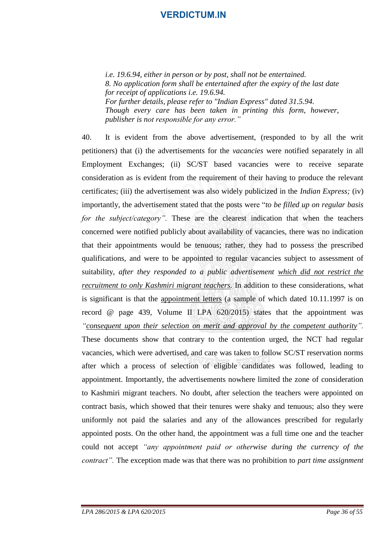*i.e. 19.6.94, either in person or by post, shall not be entertained. 8. No application form shall be entertained after the expiry of the last date for receipt of applications i.e. 19.6.94. For further details, please refer to "Indian Express" dated 31.5.94. Though every care has been taken in printing this form, however, publisher is not responsible for any error."*

40. It is evident from the above advertisement, (responded to by all the writ petitioners) that (i) the advertisements for the *vacancies* were notified separately in all Employment Exchanges; (ii) SC/ST based vacancies were to receive separate consideration as is evident from the requirement of their having to produce the relevant certificates; (iii) the advertisement was also widely publicized in the *Indian Express;* (iv) importantly, the advertisement stated that the posts were "*to be filled up on regular basis for the subject/category".* These are the clearest indication that when the teachers concerned were notified publicly about availability of vacancies, there was no indication that their appointments would be tenuous; rather, they had to possess the prescribed qualifications, and were to be appointed to regular vacancies subject to assessment of suitability, *after they responded to a public advertisement which did not restrict the recruitment to only Kashmiri migrant teachers.* In addition to these considerations, what is significant is that the appointment letters (a sample of which dated 10.11.1997 is on record @ page 439, Volume II LPA 620/2015) states that the appointment was *"consequent upon their selection on merit and approval by the competent authority".*  These documents show that contrary to the contention urged, the NCT had regular vacancies, which were advertised, and care was taken to follow SC/ST reservation norms after which a process of selection of eligible candidates was followed, leading to appointment. Importantly, the advertisements nowhere limited the zone of consideration to Kashmiri migrant teachers. No doubt, after selection the teachers were appointed on contract basis, which showed that their tenures were shaky and tenuous; also they were uniformly not paid the salaries and any of the allowances prescribed for regularly appointed posts. On the other hand, the appointment was a full time one and the teacher could not accept *"any appointment paid or otherwise during the currency of the contract".* The exception made was that there was no prohibition to *part time assignment*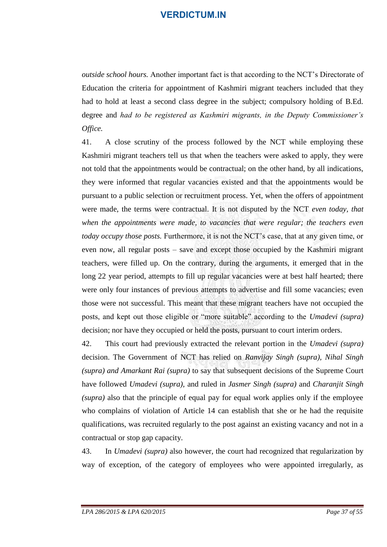*outside school hours.* Another important fact is that according to the NCT's Directorate of Education the criteria for appointment of Kashmiri migrant teachers included that they had to hold at least a second class degree in the subject; compulsory holding of B.Ed. degree and *had to be registered as Kashmiri migrants, in the Deputy Commissioner's Office.* 

41. A close scrutiny of the process followed by the NCT while employing these Kashmiri migrant teachers tell us that when the teachers were asked to apply, they were not told that the appointments would be contractual; on the other hand, by all indications, they were informed that regular vacancies existed and that the appointments would be pursuant to a public selection or recruitment process. Yet, when the offers of appointment were made, the terms were contractual. It is not disputed by the NCT *even today, that when the appointments were made, to vacancies that were regular; the teachers even today occupy those posts.* Furthermore, it is not the NCT's case, that at any given time, or even now, all regular posts – save and except those occupied by the Kashmiri migrant teachers, were filled up. On the contrary, during the arguments, it emerged that in the long 22 year period, attempts to fill up regular vacancies were at best half hearted; there were only four instances of previous attempts to advertise and fill some vacancies; even those were not successful. This meant that these migrant teachers have not occupied the posts, and kept out those eligible or "more suitable" according to the *Umadevi (supra)*  decision; nor have they occupied or held the posts, pursuant to court interim orders.

42. This court had previously extracted the relevant portion in the *Umadevi (supra)*  decision. The Government of NCT has relied on *Ranvijay Singh (supra), Nihal Singh (supra) and Amarkant Rai (supra)* to say that subsequent decisions of the Supreme Court have followed *Umadevi (supra)*, and ruled in *Jasmer Singh (supra)* and *Charanjit Singh (supra)* also that the principle of equal pay for equal work applies only if the employee who complains of violation of Article 14 can establish that she or he had the requisite qualifications, was recruited regularly to the post against an existing vacancy and not in a contractual or stop gap capacity.

43. In *Umadevi (supra)* also however*,* the court had recognized that regularization by way of exception, of the category of employees who were appointed irregularly, as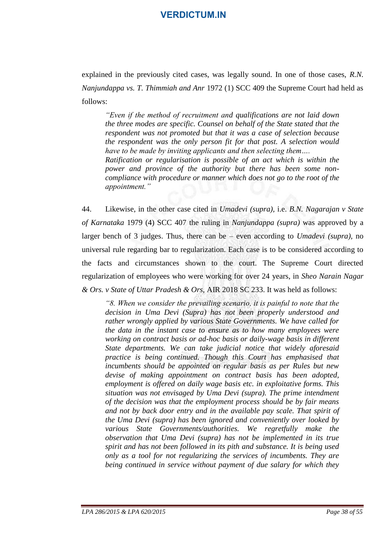explained in the previously cited cases, was legally sound. In one of those cases, *R.N. Nanjundappa vs. T. Thimmiah and Anr* 1972 (1) SCC 409 the Supreme Court had held as follows:

*"Even if the method of recruitment and qualifications are not laid down the three modes are specific. Counsel on behalf of the State stated that the respondent was not promoted but that it was a case of selection because the respondent was the only person fit for that post. A selection would have to be made by inviting applicants and then selecting them…. Ratification or regularisation is possible of an act which is within the power and province of the authority but there has been some noncompliance with procedure or manner which does not go to the root of the appointment."* 

44. Likewise, in the other case cited in *Umadevi (supra),* i.e. *B.N. Nagarajan v State of Karnataka* 1979 (4) SCC 407 the ruling in *Nanjundappa (supra)* was approved by a larger bench of 3 judges. Thus, there can be – even according to *Umadevi (supra),* no universal rule regarding bar to regularization. Each case is to be considered according to the facts and circumstances shown to the court. The Supreme Court directed regularization of employees who were working for over 24 years, in *Sheo Narain Nagar & Ors. v State of Uttar Pradesh & Ors,* AIR 2018 SC 233. It was held as follows:

*"8. When we consider the prevailing scenario, it is painful to note that the decision in Uma Devi (Supra) has not been properly understood and rather wrongly applied by various State Governments. We have called for the data in the instant case to ensure as to how many employees were working on contract basis or ad-hoc basis or daily-wage basis in different State departments. We can take judicial notice that widely aforesaid practice is being continued. Though this Court has emphasised that incumbents should be appointed on regular basis as per Rules but new devise of making appointment on contract basis has been adopted, employment is offered on daily wage basis etc. in exploitative forms. This situation was not envisaged by Uma Devi (supra). The prime intendment of the decision was that the employment process should be by fair means and not by back door entry and in the available pay scale. That spirit of the Uma Devi (supra) has been ignored and conveniently over looked by various State Governments/authorities. We regretfully make the observation that Uma Devi (supra) has not be implemented in its true spirit and has not been followed in its pith and substance. It is being used only as a tool for not regularizing the services of incumbents. They are being continued in service without payment of due salary for which they*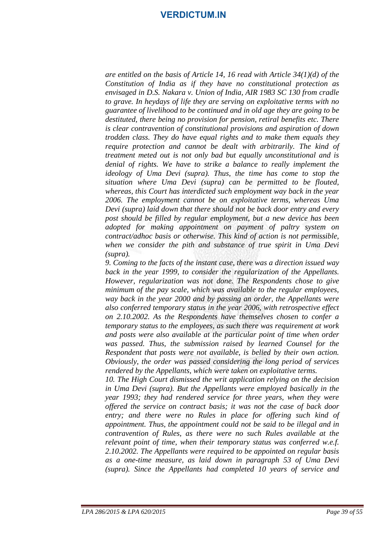*are entitled on the basis of Article 14, 16 read with Article 34(1)(d) of the Constitution of India as if they have no constitutional protection as envisaged in D.S. Nakara v. Union of India, AIR 1983 SC 130 from cradle to grave. In heydays of life they are serving on exploitative terms with no guarantee of livelihood to be continued and in old age they are going to be destituted, there being no provision for pension, retiral benefits etc. There is clear contravention of constitutional provisions and aspiration of down trodden class. They do have equal rights and to make them equals they require protection and cannot be dealt with arbitrarily. The kind of treatment meted out is not only bad but equally unconstitutional and is denial of rights. We have to strike a balance to really implement the ideology of Uma Devi (supra). Thus, the time has come to stop the situation where Uma Devi (supra) can be permitted to be flouted, whereas, this Court has interdicted such employment way back in the year 2006. The employment cannot be on exploitative terms, whereas Uma Devi (supra) laid down that there should not be back door entry and every post should be filled by regular employment, but a new device has been adopted for making appointment on payment of paltry system on contract/adhoc basis or otherwise. This kind of action is not permissible, when we consider the pith and substance of true spirit in Uma Devi (supra).*

*9. Coming to the facts of the instant case, there was a direction issued way back in the year 1999, to consider the regularization of the Appellants. However, regularization was not done. The Respondents chose to give minimum of the pay scale, which was available to the regular employees, way back in the year 2000 and by passing an order, the Appellants were also conferred temporary status in the year 2006, with retrospective effect on 2.10.2002. As the Respondents have themselves chosen to confer a temporary status to the employees, as such there was requirement at work and posts were also available at the particular point of time when order was passed. Thus, the submission raised by learned Counsel for the Respondent that posts were not available, is belied by their own action. Obviously, the order was passed considering the long period of services rendered by the Appellants, which were taken on exploitative terms.*

*10. The High Court dismissed the writ application relying on the decision in Uma Devi (supra). But the Appellants were employed basically in the year 1993; they had rendered service for three years, when they were offered the service on contract basis; it was not the case of back door entry; and there were no Rules in place for offering such kind of appointment. Thus, the appointment could not be said to be illegal and in contravention of Rules, as there were no such Rules available at the relevant point of time, when their temporary status was conferred w.e.f. 2.10.2002. The Appellants were required to be appointed on regular basis as a one-time measure, as laid down in paragraph 53 of Uma Devi (supra). Since the Appellants had completed 10 years of service and*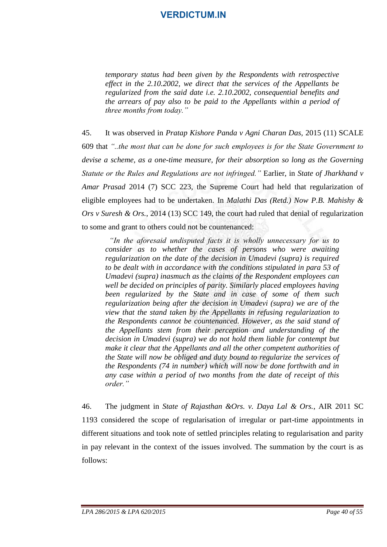*temporary status had been given by the Respondents with retrospective effect in the 2.10.2002, we direct that the services of the Appellants be regularized from the said date i.e. 2.10.2002, consequential benefits and the arrears of pay also to be paid to the Appellants within a period of three months from today."*

45. It was observed in *Pratap Kishore Panda v Agni Charan Das,* 2015 (11) SCALE 609 that *"..the most that can be done for such employees is for the State Government to devise a scheme, as a one-time measure, for their absorption so long as the Governing Statute or the Rules and Regulations are not infringed."* Earlier, in *State of Jharkhand v Amar Prasad* 2014 (7) SCC 223, the Supreme Court had held that regularization of eligible employees had to be undertaken. In *Malathi Das (Retd.) Now P.B. Mahishy & Ors v Suresh & Ors.*, 2014 (13) SCC 149, the court had ruled that denial of regularization to some and grant to others could not be countenanced:

 *"In the aforesaid undisputed facts it is wholly unnecessary for us to consider as to whether the cases of persons who were awaiting regularization on the date of the decision in Umadevi (supra) is required to be dealt with in accordance with the conditions stipulated in para 53 of Umadevi (supra) inasmuch as the claims of the Respondent employees can well be decided on principles of parity. Similarly placed employees having been regularized by the State and in case of some of them such regularization being after the decision in Umadevi (supra) we are of the view that the stand taken by the Appellants in refusing regularization to the Respondents cannot be countenanced. However, as the said stand of the Appellants stem from their perception and understanding of the decision in Umadevi (supra) we do not hold them liable for contempt but make it clear that the Appellants and all the other competent authorities of the State will now be obliged and duty bound to regularize the services of the Respondents (74 in number) which will now be done forthwith and in any case within a period of two months from the date of receipt of this order."*

46. The judgment in *State of Rajasthan &Ors. v. Daya Lal & Ors.*, AIR 2011 SC 1193 considered the scope of regularisation of irregular or part-time appointments in different situations and took note of settled principles relating to regularisation and parity in pay relevant in the context of the issues involved. The summation by the court is as follows: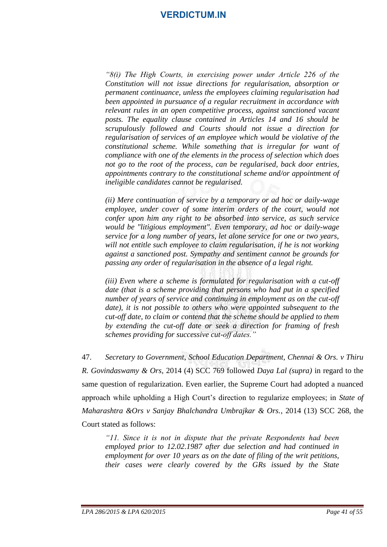*"8(i) The High Courts, in exercising power under Article 226 of the Constitution will not issue directions for regularisation, absorption or permanent continuance, unless the employees claiming regularisation had been appointed in pursuance of a regular recruitment in accordance with relevant rules in an open competitive process, against sanctioned vacant posts. The equality clause contained in Articles 14 and 16 should be scrupulously followed and Courts should not issue a direction for regularisation of services of an employee which would be violative of the constitutional scheme. While something that is irregular for want of compliance with one of the elements in the process of selection which does not go to the root of the process, can be regularised, back door entries, appointments contrary to the constitutional scheme and/or appointment of ineligible candidates cannot be regularised.*

*(ii) Mere continuation of service by a temporary or ad hoc or daily-wage employee, under cover of some interim orders of the court, would not confer upon him any right to be absorbed into service, as such service would be "litigious employment". Even temporary, ad hoc or daily-wage service for a long number of years, let alone service for one or two years, will not entitle such employee to claim regularisation, if he is not working against a sanctioned post. Sympathy and sentiment cannot be grounds for passing any order of regularisation in the absence of a legal right.*

*(iii) Even where a scheme is formulated for regularisation with a cut-off date (that is a scheme providing that persons who had put in a specified number of years of service and continuing in employment as on the cut-off date*), it is not possible to others who were appointed subsequent to the *cut-off date, to claim or contend that the scheme should be applied to them by extending the cut-off date or seek a direction for framing of fresh schemes providing for successive cut-off dates."*

47. *Secretary to Government, School Education Department, Chennai & Ors. v Thiru R. Govindaswamy & Ors*, 2014 (4) SCC 769 followed *Daya Lal (supra)* in regard to the same question of regularization. Even earlier, the Supreme Court had adopted a nuanced approach while upholding a High Court's direction to regularize employees; in *State of Maharashtra &Ors v Sanjay Bhalchandra Umbrajkar & Ors.*, 2014 (13) SCC 268, the Court stated as follows:

*"11. Since it is not in dispute that the private Respondents had been employed prior to 12.02.1987 after due selection and had continued in employment for over 10 years as on the date of filing of the writ petitions, their cases were clearly covered by the GRs issued by the State*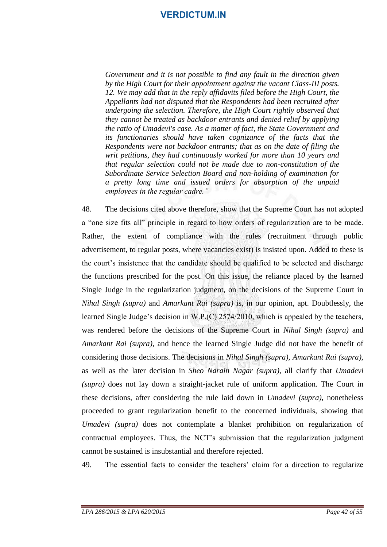*Government and it is not possible to find any fault in the direction given by the High Court for their appointment against the vacant Class-III posts. 12. We may add that in the reply affidavits filed before the High Court, the Appellants had not disputed that the Respondents had been recruited after undergoing the selection. Therefore, the High Court rightly observed that they cannot be treated as backdoor entrants and denied relief by applying the ratio of Umadevi's case. As a matter of fact, the State Government and its functionaries should have taken cognizance of the facts that the Respondents were not backdoor entrants; that as on the date of filing the writ petitions, they had continuously worked for more than 10 years and that regular selection could not be made due to non-constitution of the Subordinate Service Selection Board and non-holding of examination for a pretty long time and issued orders for absorption of the unpaid employees in the regular cadre."*

48. The decisions cited above therefore, show that the Supreme Court has not adopted a "one size fits all" principle in regard to how orders of regularization are to be made. Rather, the extent of compliance with the rules (recruitment through public advertisement, to regular posts, where vacancies exist) is insisted upon. Added to these is the court's insistence that the candidate should be qualified to be selected and discharge the functions prescribed for the post. On this issue, the reliance placed by the learned Single Judge in the regularization judgment, on the decisions of the Supreme Court in *Nihal Singh (supra)* and *Amarkant Rai (supra)* is, in our opinion, apt. Doubtlessly, the learned Single Judge's decision in W.P.(C) 2574/2010, which is appealed by the teachers, was rendered before the decisions of the Supreme Court in *Nihal Singh (supra)* and *Amarkant Rai (supra),* and hence the learned Single Judge did not have the benefit of considering those decisions. The decisions in *Nihal Singh (supra), Amarkant Rai (supra),* as well as the later decision in *Sheo Narain Nagar (supra),* all clarify that *Umadevi (supra)* does not lay down a straight-jacket rule of uniform application. The Court in these decisions, after considering the rule laid down in *Umadevi (supra),* nonetheless proceeded to grant regularization benefit to the concerned individuals, showing that *Umadevi (supra)* does not contemplate a blanket prohibition on regularization of contractual employees. Thus, the NCT's submission that the regularization judgment cannot be sustained is insubstantial and therefore rejected.

49. The essential facts to consider the teachers' claim for a direction to regularize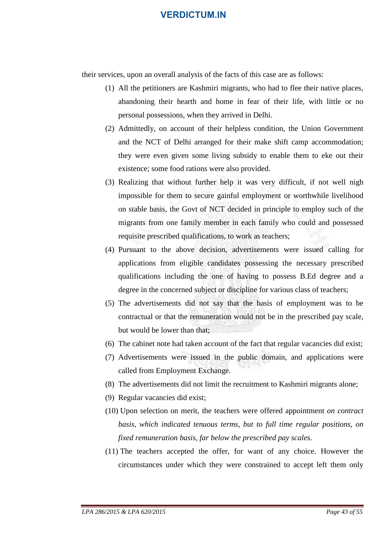their services, upon an overall analysis of the facts of this case are as follows:

- (1) All the petitioners are Kashmiri migrants, who had to flee their native places, abandoning their hearth and home in fear of their life, with little or no personal possessions, when they arrived in Delhi.
- (2) Admittedly, on account of their helpless condition, the Union Government and the NCT of Delhi arranged for their make shift camp accommodation; they were even given some living subsidy to enable them to eke out their existence; some food rations were also provided.
- (3) Realizing that without further help it was very difficult, if not well nigh impossible for them to secure gainful employment or worthwhile livelihood on stable basis, the Govt of NCT decided in principle to employ such of the migrants from one family member in each family who could and possessed requisite prescribed qualifications, to work as teachers;
- (4) Pursuant to the above decision, advertisements were issued calling for applications from eligible candidates possessing the necessary prescribed qualifications including the one of having to possess B.Ed degree and a degree in the concerned subject or discipline for various class of teachers;
- (5) The advertisements did not say that the basis of employment was to be contractual or that the remuneration would not be in the prescribed pay scale, but would be lower than that;
- (6) The cabinet note had taken account of the fact that regular vacancies did exist;
- (7) Advertisements were issued in the public domain, and applications were called from Employment Exchange.
- (8) The advertisements did not limit the recruitment to Kashmiri migrants alone;
- (9) Regular vacancies did exist;
- (10) Upon selection on merit, the teachers were offered appointment *on contract basis, which indicated tenuous terms, but to full time regular positions, on fixed remuneration basis, far below the prescribed pay scales.*
- (11) The teachers accepted the offer, for want of any choice. However the circumstances under which they were constrained to accept left them only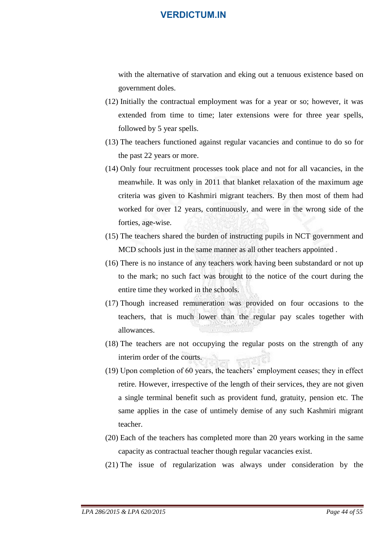with the alternative of starvation and eking out a tenuous existence based on government doles.

- (12) Initially the contractual employment was for a year or so; however, it was extended from time to time; later extensions were for three year spells, followed by 5 year spells.
- (13) The teachers functioned against regular vacancies and continue to do so for the past 22 years or more.
- (14) Only four recruitment processes took place and not for all vacancies, in the meanwhile. It was only in 2011 that blanket relaxation of the maximum age criteria was given to Kashmiri migrant teachers. By then most of them had worked for over 12 years, continuously, and were in the wrong side of the forties, age-wise.
- (15) The teachers shared the burden of instructing pupils in NCT government and MCD schools just in the same manner as all other teachers appointed .
- (16) There is no instance of any teachers work having been substandard or not up to the mark; no such fact was brought to the notice of the court during the entire time they worked in the schools.
- (17) Though increased remuneration was provided on four occasions to the teachers, that is much lower than the regular pay scales together with allowances.
- (18) The teachers are not occupying the regular posts on the strength of any interim order of the courts.
- (19) Upon completion of 60 years, the teachers' employment ceases; they in effect retire. However, irrespective of the length of their services, they are not given a single terminal benefit such as provident fund, gratuity, pension etc. The same applies in the case of untimely demise of any such Kashmiri migrant teacher.
- (20) Each of the teachers has completed more than 20 years working in the same capacity as contractual teacher though regular vacancies exist.
- (21) The issue of regularization was always under consideration by the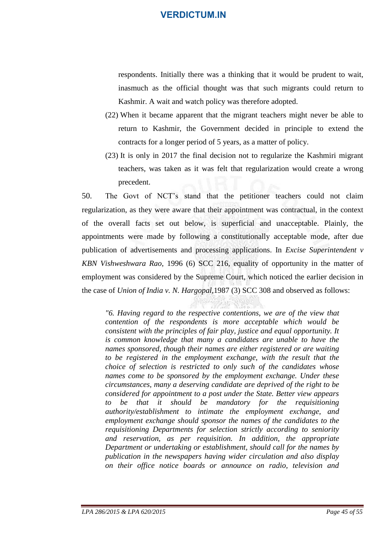respondents. Initially there was a thinking that it would be prudent to wait, inasmuch as the official thought was that such migrants could return to Kashmir. A wait and watch policy was therefore adopted.

- (22) When it became apparent that the migrant teachers might never be able to return to Kashmir, the Government decided in principle to extend the contracts for a longer period of 5 years, as a matter of policy.
- (23) It is only in 2017 the final decision not to regularize the Kashmiri migrant teachers, was taken as it was felt that regularization would create a wrong precedent.

50. The Govt of NCT's stand that the petitioner teachers could not claim regularization, as they were aware that their appointment was contractual, in the context of the overall facts set out below, is superficial and unacceptable. Plainly, the appointments were made by following a constitutionally acceptable mode, after due publication of advertisements and processing applications. In *Excise Superintendent v KBN Vishweshwara Rao*, 1996 (6) SCC 216, equality of opportunity in the matter of employment was considered by the Supreme Court, which noticed the earlier decision in the case of *Union of India v. N. Hargopal,*1987 (3) SCC 308 and observed as follows:

*"6. Having regard to the respective contentions, we are of the view that contention of the respondents is more acceptable which would be consistent with the principles of fair play, justice and equal opportunity. It is common knowledge that many a candidates are unable to have the names sponsored, though their names are either registered or are waiting to be registered in the employment exchange, with the result that the choice of selection is restricted to only such of the candidates whose names come to be sponsored by the employment exchange. Under these circumstances, many a deserving candidate are deprived of the right to be considered for appointment to a post under the State. Better view appears to be that it should be mandatory for the requisitioning authority/establishment to intimate the employment exchange, and employment exchange should sponsor the names of the candidates to the requisitioning Departments for selection strictly according to seniority and reservation, as per requisition. In addition, the appropriate Department or undertaking or establishment, should call for the names by publication in the newspapers having wider circulation and also display on their office notice boards or announce on radio, television and*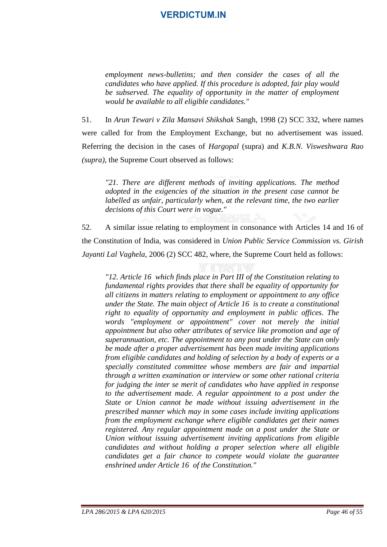*employment news-bulletins; and then consider the cases of all the candidates who have applied. If this procedure is adopted, fair play would be subserved. The equality of opportunity in the matter of employment would be available to all eligible candidates."*

51. In *Arun Tewari v Zila Mansavi Shikshak* Sangh, 1998 (2) SCC 332, where names were called for from the Employment Exchange, but no advertisement was issued. Referring the decision in the cases of *Hargopal* (supra) and *K.B.N. Visweshwara Rao (supra)*, the Supreme Court observed as follows:

*"21. There are different methods of inviting applications. The method adopted in the exigencies of the situation in the present case cannot be labelled as unfair, particularly when, at the relevant time, the two earlier decisions of this Court were in vogue."*

52. A similar issue relating to employment in consonance with Articles 14 and 16 of the Constitution of India, was considered in *Union Public Service Commission vs. Girish Jayanti Lal Vaghela,* 2006 (2) SCC 482, where, the Supreme Court held as follows:

*"12. Article 16 which finds place in Part III of the Constitution relating to fundamental rights provides that there shall be equality of opportunity for all citizens in matters relating to employment or appointment to any office under the State. The main object of Article 16 is to create a constitutional right to equality of opportunity and employment in public offices. The words "employment or appointment" cover not merely the initial appointment but also other attributes of service like promotion and age of superannuation, etc. The appointment to any post under the State can only be made after a proper advertisement has been made inviting applications from eligible candidates and holding of selection by a body of experts or a specially constituted committee whose members are fair and impartial through a written examination or interview or some other rational criteria for judging the inter se merit of candidates who have applied in response to the advertisement made. A regular appointment to a post under the State or Union cannot be made without issuing advertisement in the prescribed manner which may in some cases include inviting applications from the employment exchange where eligible candidates get their names registered. Any regular appointment made on a post under the State or Union without issuing advertisement inviting applications from eligible candidates and without holding a proper selection where all eligible candidates get a fair chance to compete would violate the guarantee enshrined under Article 16 of the Constitution."*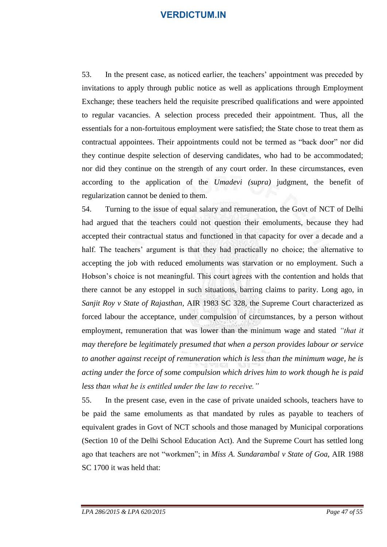53. In the present case, as noticed earlier, the teachers' appointment was preceded by invitations to apply through public notice as well as applications through Employment Exchange; these teachers held the requisite prescribed qualifications and were appointed to regular vacancies. A selection process preceded their appointment. Thus, all the essentials for a non-fortuitous employment were satisfied; the State chose to treat them as contractual appointees. Their appointments could not be termed as "back door" nor did they continue despite selection of deserving candidates, who had to be accommodated; nor did they continue on the strength of any court order. In these circumstances, even according to the application of the *Umadevi (supra)* judgment, the benefit of regularization cannot be denied to them.

54. Turning to the issue of equal salary and remuneration, the Govt of NCT of Delhi had argued that the teachers could not question their emoluments, because they had accepted their contractual status and functioned in that capacity for over a decade and a half. The teachers' argument is that they had practically no choice; the alternative to accepting the job with reduced emoluments was starvation or no employment. Such a Hobson's choice is not meaningful. This court agrees with the contention and holds that there cannot be any estoppel in such situations, barring claims to parity. Long ago, in *Sanjit Roy v State of Rajasthan*, AIR 1983 SC 328, the Supreme Court characterized as forced labour the acceptance, under compulsion of circumstances, by a person without employment, remuneration that was lower than the minimum wage and stated *"that it may therefore be legitimately presumed that when a person provides labour or service to another against receipt of remuneration which is less than the minimum wage, he is acting under the force of some compulsion which drives him to work though he is paid less than what he is entitled under the law to receive."* 

55. In the present case, even in the case of private unaided schools, teachers have to be paid the same emoluments as that mandated by rules as payable to teachers of equivalent grades in Govt of NCT schools and those managed by Municipal corporations (Section 10 of the Delhi School Education Act). And the Supreme Court has settled long ago that teachers are not "workmen"; in *Miss A. Sundarambal v State of Goa*, AIR 1988 SC 1700 it was held that: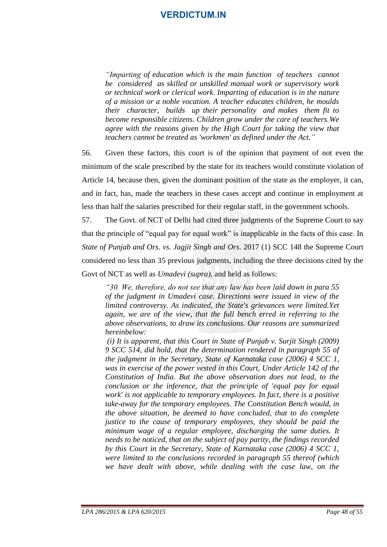*"Imparting of education which is the main function of teachers cannot be considered as skilled or unskilled manual work or supervisory work or technical work or clerical work. Imparting of education is in the nature of a mission or a noble vocation. A teacher educates children, he moulds their character, builds up their personality and makes them fit to become responsible citizens. Children grow under the care of teachers.We agree with the reasons given by the High Court for taking the view that teachers cannot be treated as 'workmen' as defined under the Act."*

56. Given these factors, this court is of the opinion that payment of not even the minimum of the scale prescribed by the state for its teachers would constitute violation of Article 14, because then, given the dominant position of the state as the employer, it can, and in fact, has, made the teachers in these cases accept and continue in employment at less than half the salaries prescribed for their regular staff, in the government schools.

57. The Govt. of NCT of Delhi had cited three judgments of the Supreme Court to say that the principle of "equal pay for equal work" is inapplicable in the facts of this case. In *State of Punjab and Ors. vs. Jagjit Singh and Ors.* 2017 (1) SCC 148 the Supreme Court considered no less than 35 previous judgments, including the three decisions cited by the Govt of NCT as well as *Umadevi (supra),* and held as follows:

*"30. We, therefore, do not see that any law has been laid down in para 55 of the judgment in Umadevi case. Directions were issued in view of the limited controversy. As indicated, the State's grievances were limited.Yet again, we are of the view, that the full bench erred in referring to the above observations, to draw its conclusions. Our reasons are summarized hereinbelow:*

*(i) It is apparent, that this Court in State of Punjab v. Surjit Singh (2009) 9 SCC 514, did hold, that the determination rendered in paragraph 55 of the judgment in the Secretary, State of Karnataka case (2006) 4 SCC 1, was in exercise of the power vested in this Court, Under Article 142 of the Constitution of India. But the above observation does not lead, to the conclusion or the inference, that the principle of 'equal pay for equal work' is not applicable to temporary employees. In fact, there is a positive take-away for the temporary employees. The Constitution Bench would, in the above situation, be deemed to have concluded, that to do complete justice to the cause of temporary employees, they should be paid the minimum wage of a regular employee, discharging the same duties. It needs to be noticed, that on the subject of pay parity, the findings recorded by this Court in the Secretary, State of Karnataka case (2006) 4 SCC 1, were limited to the conclusions recorded in paragraph 55 thereof (which we have dealt with above, while dealing with the case law, on the*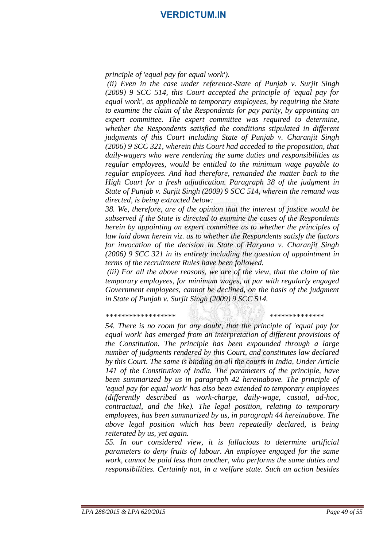*principle of 'equal pay for equal work').*

*(ii) Even in the case under reference-State of Punjab v. Surjit Singh (2009) 9 SCC 514, this Court accepted the principle of 'equal pay for equal work', as applicable to temporary employees, by requiring the State to examine the claim of the Respondents for pay parity, by appointing an expert committee. The expert committee was required to determine, whether the Respondents satisfied the conditions stipulated in different judgments of this Court including State of Punjab v. Charanjit Singh (2006) 9 SCC 321, wherein this Court had acceded to the proposition, that daily-wagers who were rendering the same duties and responsibilities as regular employees, would be entitled to the minimum wage payable to regular employees. And had therefore, remanded the matter back to the High Court for a fresh adjudication. Paragraph 38 of the judgment in State of Punjab v. Surjit Singh (2009) 9 SCC 514, wherein the remand was directed, is being extracted below:*

*38. We, therefore, are of the opinion that the interest of justice would be subserved if the State is directed to examine the cases of the Respondents herein by appointing an expert committee as to whether the principles of law laid down herein viz. as to whether the Respondents satisfy the factors for invocation of the decision in State of Haryana v. Charanjit Singh (2006) 9 SCC 321 in its entirety including the question of appointment in terms of the recruitment Rules have been followed.*

*(iii) For all the above reasons, we are of the view, that the claim of the temporary employees, for minimum wages, at par with regularly engaged Government employees, cannot be declined, on the basis of the judgment in State of Punjab v. Surjit Singh (2009) 9 SCC 514.*

*\*\*\*\*\*\*\*\*\*\*\*\*\*\*\*\*\*\* \*\*\*\*\*\*\*\*\*\*\*\*\*\**

*54. There is no room for any doubt, that the principle of 'equal pay for equal work' has emerged from an interpretation of different provisions of the Constitution. The principle has been expounded through a large number of judgments rendered by this Court, and constitutes law declared by this Court. The same is binding on all the courts in India, Under Article 141 of the Constitution of India. The parameters of the principle, have been summarized by us in paragraph 42 hereinabove. The principle of 'equal pay for equal work' has also been extended to temporary employees (differently described as work-charge, daily-wage, casual, ad-hoc, contractual, and the like). The legal position, relating to temporary employees, has been summarized by us, in paragraph 44 hereinabove. The above legal position which has been repeatedly declared, is being reiterated by us, yet again.*

*55. In our considered view, it is fallacious to determine artificial parameters to deny fruits of labour. An employee engaged for the same work, cannot be paid less than another, who performs the same duties and responsibilities. Certainly not, in a welfare state. Such an action besides*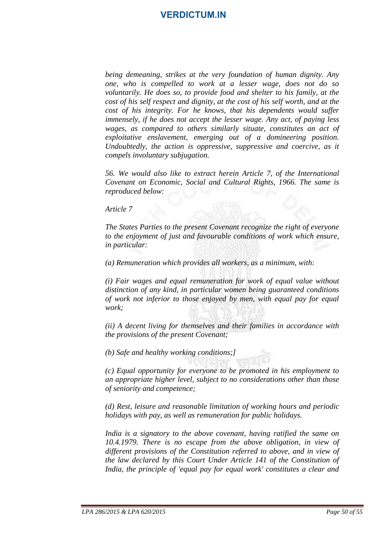*being demeaning, strikes at the very foundation of human dignity. Any one, who is compelled to work at a lesser wage, does not do so voluntarily. He does so, to provide food and shelter to his family, at the cost of his self respect and dignity, at the cost of his self worth, and at the cost of his integrity. For he knows, that his dependents would suffer immensely, if he does not accept the lesser wage. Any act, of paying less wages, as compared to others similarly situate, constitutes an act of exploitative enslavement, emerging out of a domineering position. Undoubtedly, the action is oppressive, suppressive and coercive, as it compels involuntary subjugation.*

*56. We would also like to extract herein Article 7, of the International Covenant on Economic, Social and Cultural Rights, 1966. The same is reproduced below:*

*Article 7*

*The States Parties to the present Covenant recognize the right of everyone to the enjoyment of just and favourable conditions of work which ensure, in particular:*

*(a) Remuneration which provides all workers, as a minimum, with:*

*(i) Fair wages and equal remuneration for work of equal value without distinction of any kind, in particular women being guaranteed conditions of work not inferior to those enjoyed by men, with equal pay for equal work;*

*(ii) A decent living for themselves and their families in accordance with the provisions of the present Covenant;*

*(b) Safe and healthy working conditions;]*

*(c) Equal opportunity for everyone to be promoted in his employment to an appropriate higher level, subject to no considerations other than those of seniority and competence;*

*(d) Rest, leisure and reasonable limitation of working hours and periodic holidays with pay, as well as remuneration for public holidays.*

*India is a signatory to the above covenant, having ratified the same on 10.4.1979. There is no escape from the above obligation, in view of different provisions of the Constitution referred to above, and in view of the law declared by this Court Under Article 141 of the Constitution of India, the principle of 'equal pay for equal work' constitutes a clear and*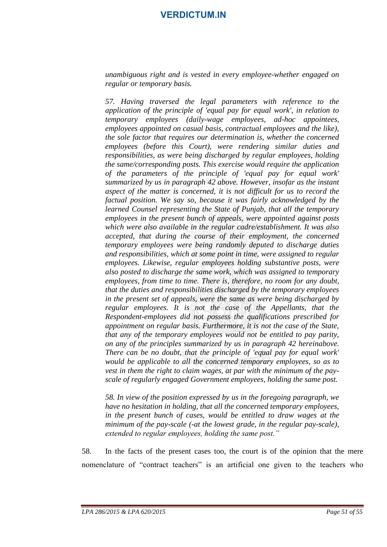*unambiguous right and is vested in every employee-whether engaged on regular or temporary basis.*

*57. Having traversed the legal parameters with reference to the application of the principle of 'equal pay for equal work', in relation to temporary employees (daily-wage employees, ad-hoc appointees, employees appointed on casual basis, contractual employees and the like), the sole factor that requires our determination is, whether the concerned employees (before this Court), were rendering similar duties and responsibilities, as were being discharged by regular employees, holding the same/corresponding posts. This exercise would require the application of the parameters of the principle of 'equal pay for equal work' summarized by us in paragraph 42 above. However, insofar as the instant aspect of the matter is concerned, it is not difficult for us to record the factual position. We say so, because it was fairly acknowledged by the learned Counsel representing the State of Punjab, that all the temporary employees in the present bunch of appeals, were appointed against posts which were also available in the regular cadre/establishment. It was also accepted, that during the course of their employment, the concerned temporary employees were being randomly deputed to discharge duties and responsibilities, which at some point in time, were assigned to regular employees. Likewise, regular employees holding substantive posts, were also posted to discharge the same work, which was assigned to temporary employees, from time to time. There is, therefore, no room for any doubt, that the duties and responsibilities discharged by the temporary employees in the present set of appeals, were the same as were being discharged by regular employees. It is not the case of the Appellants, that the Respondent-employees did not possess the qualifications prescribed for appointment on regular basis. Furthermore, it is not the case of the State, that any of the temporary employees would not be entitled to pay parity, on any of the principles summarized by us in paragraph 42 hereinabove. There can be no doubt, that the principle of 'equal pay for equal work' would be applicable to all the concerned temporary employees, so as to vest in them the right to claim wages, at par with the minimum of the payscale of regularly engaged Government employees, holding the same post.*

*58. In view of the position expressed by us in the foregoing paragraph, we have no hesitation in holding, that all the concerned temporary employees, in the present bunch of cases, would be entitled to draw wages at the minimum of the pay-scale (-at the lowest grade, in the regular pay-scale), extended to regular employees, holding the same post."*

58. In the facts of the present cases too, the court is of the opinion that the mere nomenclature of "contract teachers" is an artificial one given to the teachers who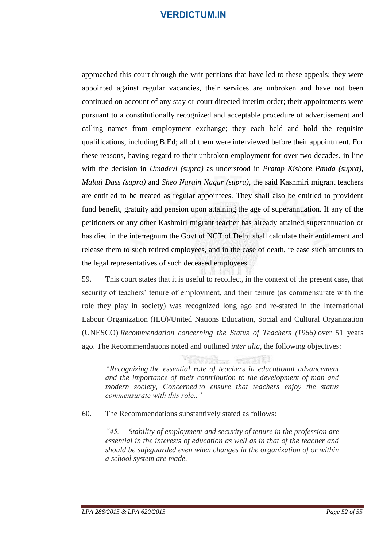approached this court through the writ petitions that have led to these appeals; they were appointed against regular vacancies, their services are unbroken and have not been continued on account of any stay or court directed interim order; their appointments were pursuant to a constitutionally recognized and acceptable procedure of advertisement and calling names from employment exchange; they each held and hold the requisite qualifications, including B.Ed; all of them were interviewed before their appointment. For these reasons, having regard to their unbroken employment for over two decades, in line with the decision in *Umadevi (supra)* as understood in *Pratap Kishore Panda (supra), Malati Dass (supra)* and *Sheo Narain Nagar (supra)*, the said Kashmiri migrant teachers are entitled to be treated as regular appointees. They shall also be entitled to provident fund benefit, gratuity and pension upon attaining the age of superannuation. If any of the petitioners or any other Kashmiri migrant teacher has already attained superannuation or has died in the interregnum the Govt of NCT of Delhi shall calculate their entitlement and release them to such retired employees, and in the case of death, release such amounts to the legal representatives of such deceased employees.

59. This court states that it is useful to recollect, in the context of the present case, that security of teachers' tenure of employment, and their tenure (as commensurate with the role they play in society) was recognized long ago and re-stated in the International Labour Organization (ILO)/United Nations Education, Social and Cultural Organization (UNESCO) *Recommendation concerning the Status of Teachers (1966)* over 51 years ago. The Recommendations noted and outlined *inter alia,* the following objectives:

*"Recognizing the essential role of teachers in educational advancement and the importance of their contribution to the development of man and modern society, Concerned to ensure that teachers enjoy the status commensurate with this role.."*

60. The Recommendations substantively stated as follows:

*"45. Stability of employment and security of tenure in the profession are essential in the interests of education as well as in that of the teacher and should be safeguarded even when changes in the organization of or within a school system are made.*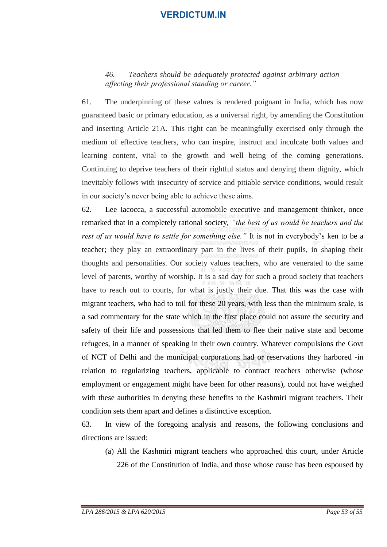#### *46. Teachers should be adequately protected against arbitrary action affecting their professional standing or career."*

61. The underpinning of these values is rendered poignant in India, which has now guaranteed basic or primary education, as a universal right, by amending the Constitution and inserting Article 21A. This right can be meaningfully exercised only through the medium of effective teachers, who can inspire, instruct and inculcate both values and learning content, vital to the growth and well being of the coming generations. Continuing to deprive teachers of their rightful status and denying them dignity, which inevitably follows with insecurity of service and pitiable service conditions, would result in our society's never being able to achieve these aims.

62. Lee Iacocca, a successful automobile executive and management thinker, once remarked that in a completely rational society*, "the best of us would be teachers and the rest of us would have to settle for something else."* It is not in everybody's ken to be a teacher; they play an extraordinary part in the lives of their pupils, in shaping their thoughts and personalities. Our society values teachers, who are venerated to the same level of parents, worthy of worship. It is a sad day for such a proud society that teachers have to reach out to courts, for what is justly their due. That this was the case with migrant teachers, who had to toil for these 20 years, with less than the minimum scale, is a sad commentary for the state which in the first place could not assure the security and safety of their life and possessions that led them to flee their native state and become refugees, in a manner of speaking in their own country. Whatever compulsions the Govt of NCT of Delhi and the municipal corporations had or reservations they harbored -in relation to regularizing teachers, applicable to contract teachers otherwise (whose employment or engagement might have been for other reasons), could not have weighed with these authorities in denying these benefits to the Kashmiri migrant teachers. Their condition sets them apart and defines a distinctive exception.

63. In view of the foregoing analysis and reasons, the following conclusions and directions are issued:

(a) All the Kashmiri migrant teachers who approached this court, under Article 226 of the Constitution of India, and those whose cause has been espoused by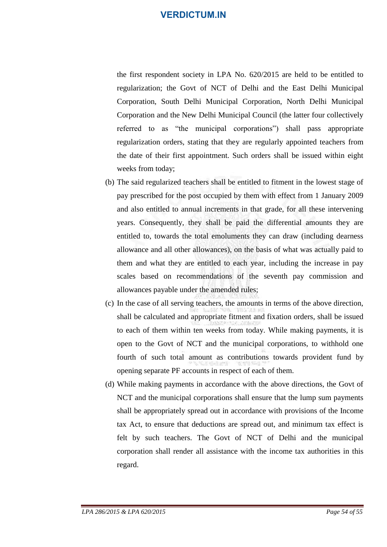the first respondent society in LPA No. 620/2015 are held to be entitled to regularization; the Govt of NCT of Delhi and the East Delhi Municipal Corporation, South Delhi Municipal Corporation, North Delhi Municipal Corporation and the New Delhi Municipal Council (the latter four collectively referred to as "the municipal corporations") shall pass appropriate regularization orders, stating that they are regularly appointed teachers from the date of their first appointment. Such orders shall be issued within eight weeks from today;

- (b) The said regularized teachers shall be entitled to fitment in the lowest stage of pay prescribed for the post occupied by them with effect from 1 January 2009 and also entitled to annual increments in that grade, for all these intervening years. Consequently, they shall be paid the differential amounts they are entitled to, towards the total emoluments they can draw (including dearness allowance and all other allowances), on the basis of what was actually paid to them and what they are entitled to each year, including the increase in pay scales based on recommendations of the seventh pay commission and allowances payable under the amended rules;
- (c) In the case of all serving teachers, the amounts in terms of the above direction, shall be calculated and appropriate fitment and fixation orders, shall be issued to each of them within ten weeks from today. While making payments, it is open to the Govt of NCT and the municipal corporations, to withhold one fourth of such total amount as contributions towards provident fund by opening separate PF accounts in respect of each of them.
- (d) While making payments in accordance with the above directions, the Govt of NCT and the municipal corporations shall ensure that the lump sum payments shall be appropriately spread out in accordance with provisions of the Income tax Act, to ensure that deductions are spread out, and minimum tax effect is felt by such teachers. The Govt of NCT of Delhi and the municipal corporation shall render all assistance with the income tax authorities in this regard.